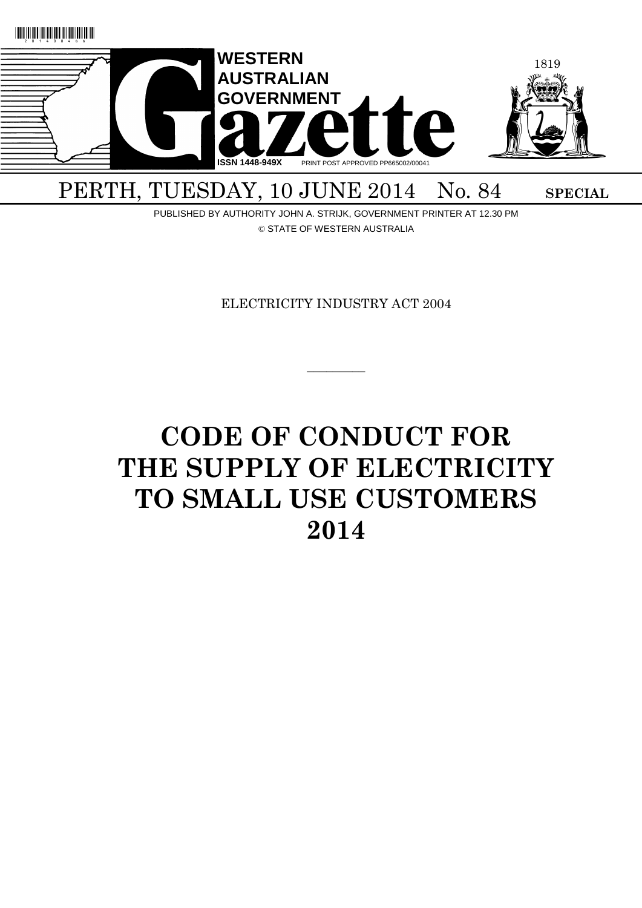

PUBLISHED BY AUTHORITY JOHN A. STRIJK, GOVERNMENT PRINTER AT 12.30 PM © STATE OF WESTERN AUSTRALIA

ELECTRICITY INDUSTRY ACT 2004

 $\overline{\phantom{a}}$ 

# **CODE OF CONDUCT FOR THE SUPPLY OF ELECTRICITY TO SMALL USE CUSTOMERS 2014**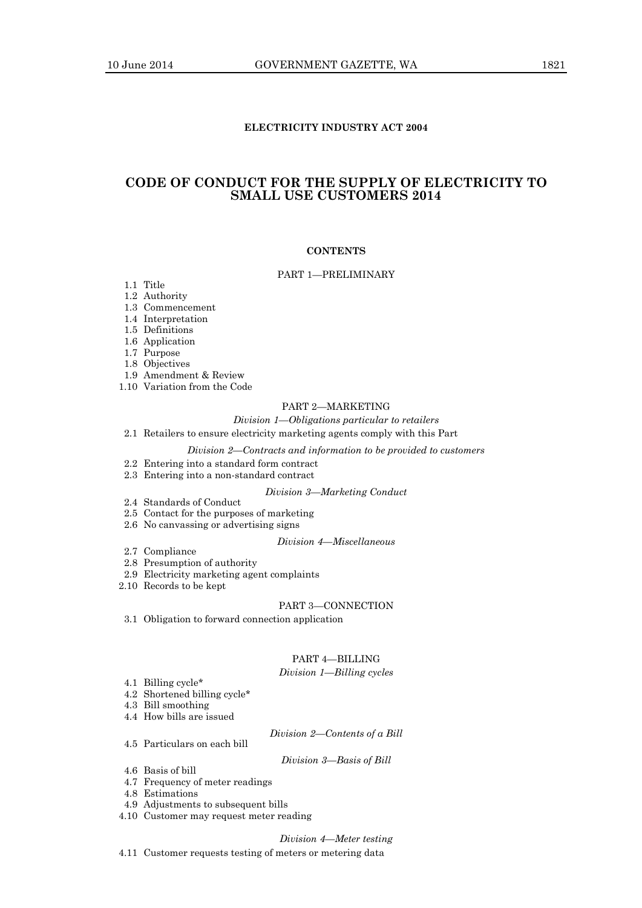# **ELECTRICITY INDUSTRY ACT 2004**

# **CODE OF CONDUCT FOR THE SUPPLY OF ELECTRICITY TO SMALL USE CUSTOMERS 2014**

# **CONTENTS**

#### PART 1—PRELIMINARY

1.1 Title

- 1.2 Authority
- 1.3 Commencement
- 1.4 Interpretation
- 1.5 Definitions
- 1.6 Application
- 1.7 Purpose
- 1.8 Objectives
- 1.9 Amendment & Review
- 1.10 Variation from the Code

# PART 2—MARKETING

# *Division 1—Obligations particular to retailers*

#### 2.1 Retailers to ensure electricity marketing agents comply with this Part

#### *Division 2—Contracts and information to be provided to customers*

- 2.2 Entering into a standard form contract
- 2.3 Entering into a non-standard contract

#### *Division 3—Marketing Conduct*

- 2.4 Standards of Conduct
- 2.5 Contact for the purposes of marketing
- 2.6 No canvassing or advertising signs

#### *Division 4—Miscellaneous*

- 2.7 Compliance
- 2.8 Presumption of authority
- 2.9 Electricity marketing agent complaints
- 2.10 Records to be kept

#### PART 3—CONNECTION

3.1 Obligation to forward connection application

# PART 4—BILLING

# *Division 1—Billing cycles*

- 4.1 Billing cycle\* 4.2 Shortened billing cycle\*
- 4.3 Bill smoothing
- 
- 4.4 How bills are issued
- 4.5 Particulars on each bill

*Division 3—Basis of Bill*

*Division 2—Contents of a Bill*

- 4.6 Basis of bill
- 4.7 Frequency of meter readings
- 4.8 Estimations
- 4.9 Adjustments to subsequent bills
- 4.10 Customer may request meter reading

*Division 4—Meter testing*

4.11 Customer requests testing of meters or metering data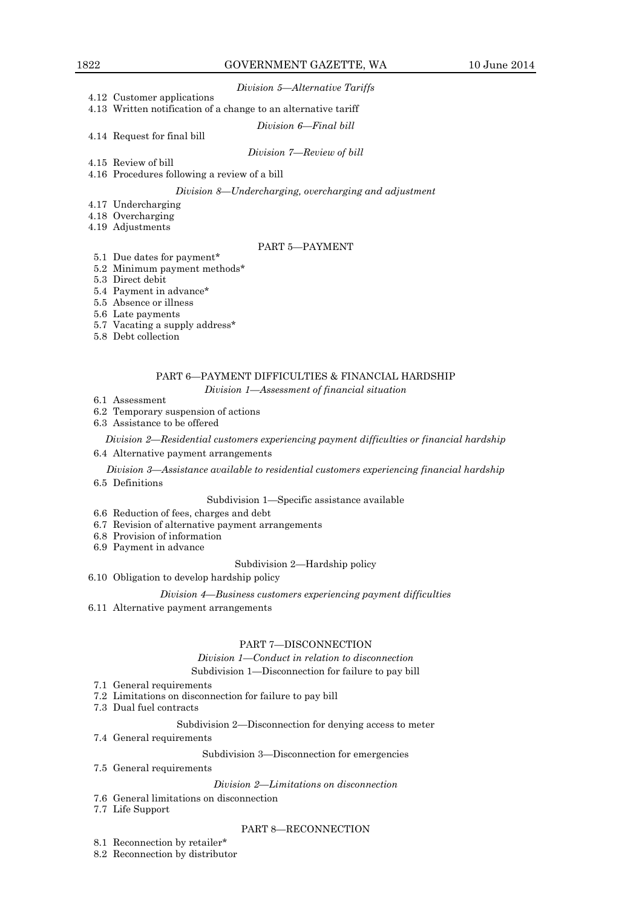#### *Division 5—Alternative Tariffs*

4.12 Customer applications 4.13 Written notification of a change to an alternative tariff

*Division 6—Final bill*

4.14 Request for final bill

*Division 7—Review of bill*

- 4.15 Review of bill
- 4.16 Procedures following a review of a bill

*Division 8—Undercharging, overcharging and adjustment*

- 4.17 Undercharging
- 4.18 Overcharging
- 4.19 Adjustments

# PART 5—PAYMENT

- 5.1 Due dates for payment\* 5.2 Minimum payment methods\*
- 5.3 Direct debit
- 5.4 Payment in advance\*
- 5.5 Absence or illness
- 5.6 Late payments
- 5.7 Vacating a supply address\*
- 5.8 Debt collection

# PART 6—PAYMENT DIFFICULTIES & FINANCIAL HARDSHIP

*Division 1—Assessment of financial situation*

- 6.1 Assessment
- 6.2 Temporary suspension of actions
- 6.3 Assistance to be offered

*Division 2—Residential customers experiencing payment difficulties or financial hardship* 6.4 Alternative payment arrangements

#### *Division 3—Assistance available to residential customers experiencing financial hardship*

6.5 Definitions

# Subdivision 1—Specific assistance available

- 6.6 Reduction of fees, charges and debt
- 6.7 Revision of alternative payment arrangements
- 6.8 Provision of information
- 6.9 Payment in advance

#### Subdivision 2—Hardship policy

6.10 Obligation to develop hardship policy

#### *Division 4—Business customers experiencing payment difficulties*

6.11 Alternative payment arrangements

# PART 7—DISCONNECTION

*Division 1—Conduct in relation to disconnection*

Subdivision 1—Disconnection for failure to pay bill

- 7.1 General requirements
- 7.2 Limitations on disconnection for failure to pay bill
- 7.3 Dual fuel contracts

# Subdivision 2—Disconnection for denying access to meter

7.4 General requirements

#### Subdivision 3—Disconnection for emergencies

7.5 General requirements

# *Division 2—Limitations on disconnection*

- 7.6 General limitations on disconnection
- 7.7 Life Support

#### PART 8—RECONNECTION

- 8.1 Reconnection by retailer\*
- 8.2 Reconnection by distributor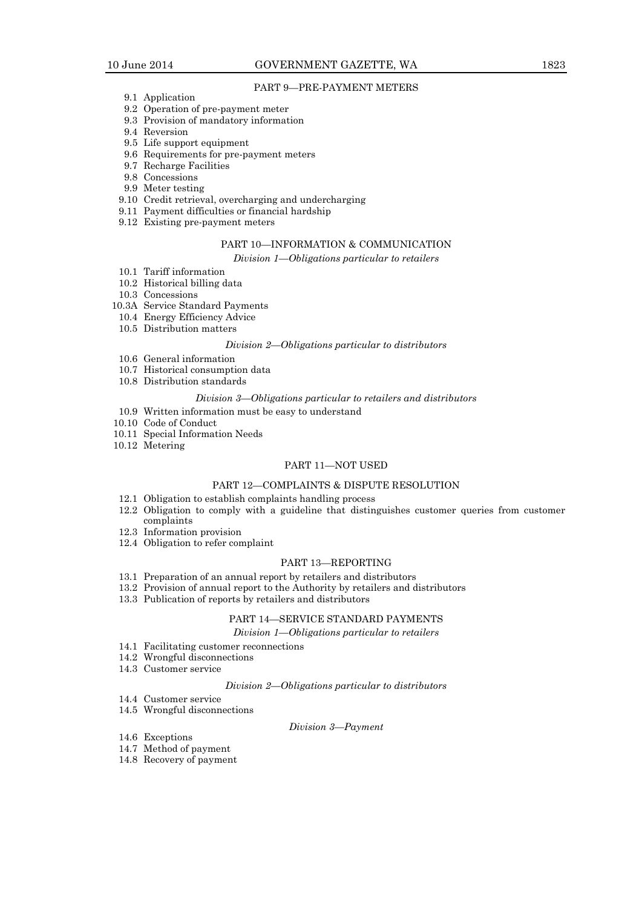# PART 9—PRE-PAYMENT METERS

- 9.1 Application
- 9.2 Operation of pre-payment meter
- 9.3 Provision of mandatory information
- 9.4 Reversion
- 9.5 Life support equipment
- 9.6 Requirements for pre-payment meters
- 9.7 Recharge Facilities
- 9.8 Concessions
- 9.9 Meter testing
- 9.10 Credit retrieval, overcharging and undercharging
- 9.11 Payment difficulties or financial hardship
- 9.12 Existing pre-payment meters

# PART 10—INFORMATION & COMMUNICATION

*Division 1—Obligations particular to retailers*

- 10.1 Tariff information
- 10.2 Historical billing data
- 10.3 Concessions
- 10.3A Service Standard Payments
- 10.4 Energy Efficiency Advice
- 10.5 Distribution matters

#### *Division 2—Obligations particular to distributors*

- 10.6 General information
- 10.7 Historical consumption data
- 10.8 Distribution standards

#### *Division 3—Obligations particular to retailers and distributors*

- 10.9 Written information must be easy to understand
- 10.10 Code of Conduct
- 10.11 Special Information Needs
- 10.12 Metering

# PART 11—NOT USED

# PART 12—COMPLAINTS & DISPUTE RESOLUTION

- 12.1 Obligation to establish complaints handling process
- 12.2 Obligation to comply with a guideline that distinguishes customer queries from customer complaints
- 12.3 Information provision
- 12.4 Obligation to refer complaint

# PART 13—REPORTING

- 13.1 Preparation of an annual report by retailers and distributors
- 13.2 Provision of annual report to the Authority by retailers and distributors
- 13.3 Publication of reports by retailers and distributors

# PART 14—SERVICE STANDARD PAYMENTS

*Division 1—Obligations particular to retailers*

- 14.1 Facilitating customer reconnections
- 14.2 Wrongful disconnections
- 14.3 Customer service

#### *Division 2—Obligations particular to distributors*

- 14.4 Customer service
- 14.5 Wrongful disconnections

# *Division 3—Payment*

- 14.6 Exceptions
- 14.7 Method of payment
- 14.8 Recovery of payment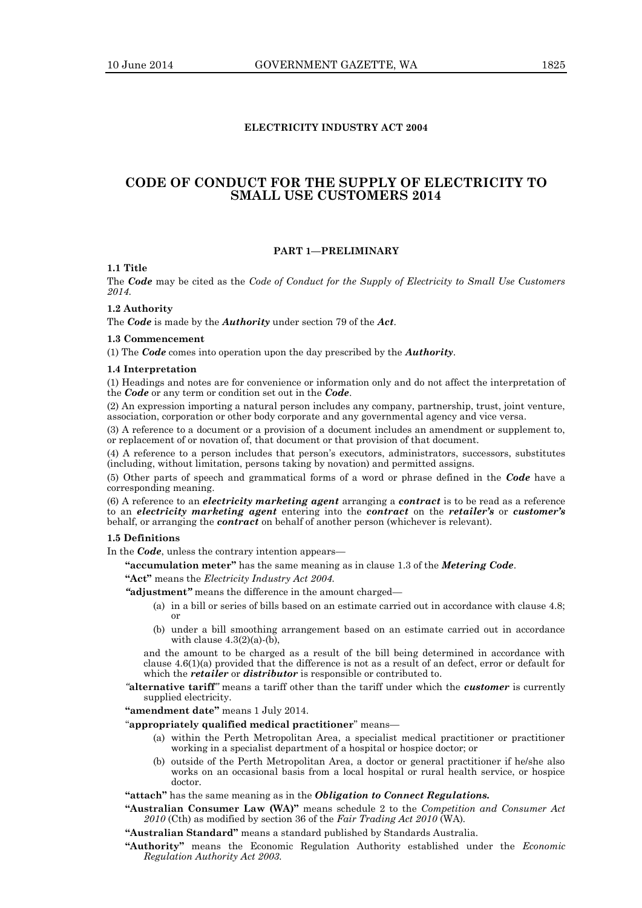# **ELECTRICITY INDUSTRY ACT 2004**

# **CODE OF CONDUCT FOR THE SUPPLY OF ELECTRICITY TO SMALL USE CUSTOMERS 2014**

#### **PART 1—PRELIMINARY**

# **1.1 Title**

The *Code* may be cited as the *Code of Conduct for the Supply of Electricity to Small Use Customers 2014*.

#### **1.2 Authority**

The *Code* is made by the *Authority* under section 79 of the *Act*.

# **1.3 Commencement**

(1) The *Code* comes into operation upon the day prescribed by the *Authority*.

# **1.4 Interpretation**

(1) Headings and notes are for convenience or information only and do not affect the interpretation of the *Code* or any term or condition set out in the *Code*.

(2) An expression importing a natural person includes any company, partnership, trust, joint venture, association, corporation or other body corporate and any governmental agency and vice versa.

(3) A reference to a document or a provision of a document includes an amendment or supplement to, or replacement of or novation of, that document or that provision of that document.

(4) A reference to a person includes that person's executors, administrators, successors, substitutes (including, without limitation, persons taking by novation) and permitted assigns.

(5) Other parts of speech and grammatical forms of a word or phrase defined in the *Code* have a corresponding meaning.

(6) A reference to an *electricity marketing agent* arranging a *contract* is to be read as a reference to an *electricity marketing agent* entering into the *contract* on the *retailer's* or *customer's* behalf, or arranging the *contract* on behalf of another person (whichever is relevant).

# **1.5 Definitions**

In the *Code*, unless the contrary intention appears—

**"accumulation meter"** has the same meaning as in clause 1.3 of the *Metering Code*.

**"Act"** means the *Electricity Industry Act 2004.*

*"***adjustment***"* means the difference in the amount charged—

- (a) in a bill or series of bills based on an estimate carried out in accordance with clause 4.8; or
- (b) under a bill smoothing arrangement based on an estimate carried out in accordance with clause  $4.3(2)(a)$ -(b),

and the amount to be charged as a result of the bill being determined in accordance with clause 4.6(1)(a) provided that the difference is not as a result of an defect, error or default for which the *retailer* or *distributor* is responsible or contributed to.

*"***alternative tariff***"* means a tariff other than the tariff under which the *customer* is currently supplied electricity.

**"amendment date"** means 1 July 2014.

# "**appropriately qualified medical practitioner**" means—

- (a) within the Perth Metropolitan Area, a specialist medical practitioner or practitioner working in a specialist department of a hospital or hospice doctor; or
- (b) outside of the Perth Metropolitan Area, a doctor or general practitioner if he/she also works on an occasional basis from a local hospital or rural health service, or hospice doctor.

# **"attach"** has the same meaning as in the *Obligation to Connect Regulations.*

- **"Australian Consumer Law (WA)"** means schedule 2 to the *Competition and Consumer Act 2010* (Cth) as modified by section 36 of the *Fair Trading Act 2010* (WA)*.*
- **"Australian Standard"** means a standard published by Standards Australia.
- **"Authority"** means the Economic Regulation Authority established under the *Economic Regulation Authority Act 2003.*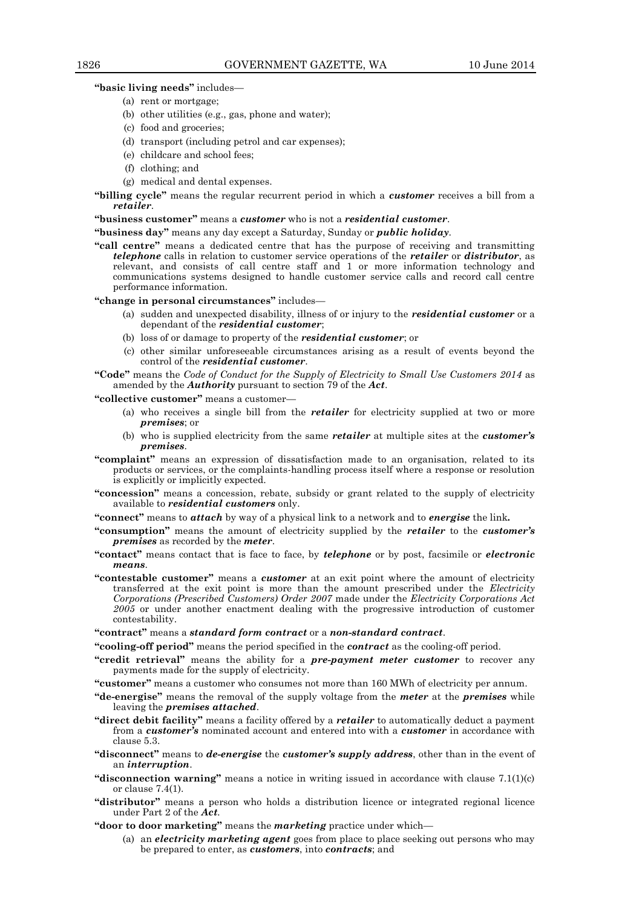**"basic living needs"** includes—

- (a) rent or mortgage;
- (b) other utilities (e.g., gas, phone and water);
- (c) food and groceries;
- (d) transport (including petrol and car expenses);
- (e) childcare and school fees;
- (f) clothing; and
- (g) medical and dental expenses.
- **"billing cycle"** means the regular recurrent period in which a *customer* receives a bill from a *retailer*.

#### **"business customer"** means a *customer* who is not a *residential customer*.

**"business day"** means any day except a Saturday, Sunday or *public holiday*.

**"call centre"** means a dedicated centre that has the purpose of receiving and transmitting *telephone* calls in relation to customer service operations of the *retailer* or *distributor*, as relevant, and consists of call centre staff and 1 or more information technology and communications systems designed to handle customer service calls and record call centre performance information.

**"change in personal circumstances"** includes—

- (a) sudden and unexpected disability, illness of or injury to the *residential customer* or a dependant of the *residential customer*;
- (b) loss of or damage to property of the *residential customer*; or
- (c) other similar unforeseeable circumstances arising as a result of events beyond the control of the *residential customer*.

**"Code"** means the *Code of Conduct for the Supply of Electricity to Small Use Customers 2014* as amended by the *Authority* pursuant to section 79 of the *Act*.

**"collective customer"** means a customer—

- (a) who receives a single bill from the *retailer* for electricity supplied at two or more *premises*; or
- (b) who is supplied electricity from the same *retailer* at multiple sites at the *customer's premises*.
- **"complaint"** means an expression of dissatisfaction made to an organisation, related to its products or services, or the complaints-handling process itself where a response or resolution is explicitly or implicitly expected.
- **"concession"** means a concession, rebate, subsidy or grant related to the supply of electricity available to *residential customers* only.
- **"connect"** means to *attach* by way of a physical link to a network and to *energise* the link*.*
- **"consumption"** means the amount of electricity supplied by the *retailer* to the *customer's premises* as recorded by the *meter*.
- **"contact"** means contact that is face to face, by *telephone* or by post, facsimile or *electronic means*.
- **"contestable customer"** means a *customer* at an exit point where the amount of electricity transferred at the exit point is more than the amount prescribed under the *Electricity Corporations (Prescribed Customers) Order 2007* made under the *Electricity Corporations Act 2005* or under another enactment dealing with the progressive introduction of customer contestability.

**"contract"** means a *standard form contract* or a *non-standard contract*.

**"cooling-off period"** means the period specified in the *contract* as the cooling-off period.

- **"credit retrieval"** means the ability for a *pre-payment meter customer* to recover any payments made for the supply of electricity.
- **"customer"** means a customer who consumes not more than 160 MWh of electricity per annum.
- **"de-energise"** means the removal of the supply voltage from the *meter* at the *premises* while leaving the *premises attached*.
- **"direct debit facility"** means a facility offered by a *retailer* to automatically deduct a payment from a *customer's* nominated account and entered into with a *customer* in accordance with clause 5.3.
- **"disconnect"** means to *de-energise* the *customer's supply address*, other than in the event of an *interruption*.
- **"disconnection warning"** means a notice in writing issued in accordance with clause 7.1(1)(c) or clause 7.4(1).
- **"distributor"** means a person who holds a distribution licence or integrated regional licence under Part 2 of the *Act.*
- **"door to door marketing"** means the *marketing* practice under which—
	- (a) an *electricity marketing agent* goes from place to place seeking out persons who may be prepared to enter, as *customers*, into *contracts*; and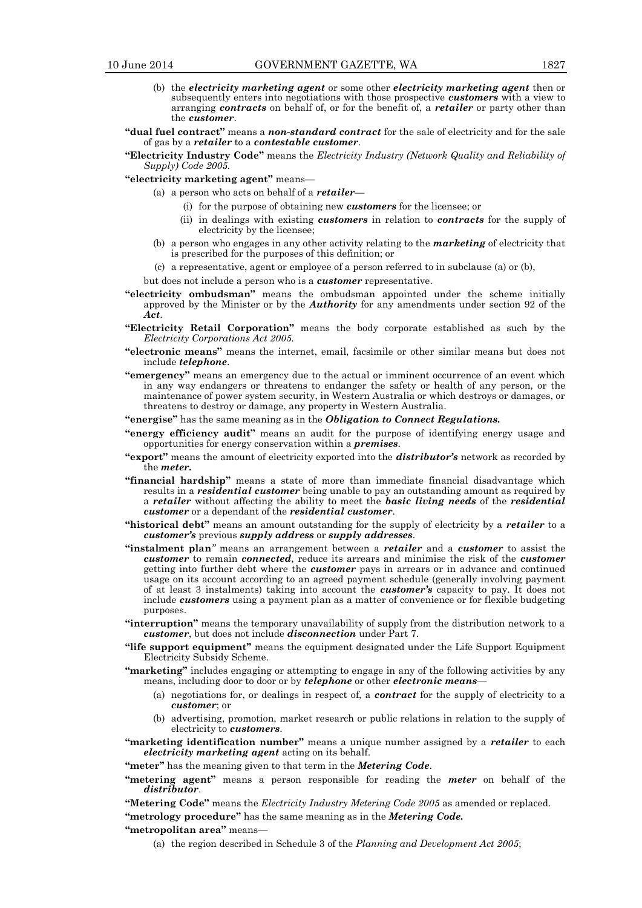- (b) the *electricity marketing agent* or some other *electricity marketing agent* then or subsequently enters into negotiations with those prospective *customers* with a view to arranging *contracts* on behalf of, or for the benefit of, a *retailer* or party other than the *customer*.
- **"dual fuel contract"** means a *non-standard contract* for the sale of electricity and for the sale of gas by a *retailer* to a *contestable customer*.
- **"Electricity Industry Code"** means the *Electricity Industry (Network Quality and Reliability of Supply) Code 2005.*
- **"electricity marketing agent"** means—
	- (a) a person who acts on behalf of a *retailer*
		- (i) for the purpose of obtaining new *customers* for the licensee; or
		- (ii) in dealings with existing *customers* in relation to *contracts* for the supply of electricity by the licensee;
	- (b) a person who engages in any other activity relating to the *marketing* of electricity that is prescribed for the purposes of this definition; or
	- (c) a representative, agent or employee of a person referred to in subclause (a) or (b),
	- but does not include a person who is a *customer* representative.
- **"electricity ombudsman"** means the ombudsman appointed under the scheme initially approved by the Minister or by the *Authority* for any amendments under section 92 of the *Act*.
- **"Electricity Retail Corporation"** means the body corporate established as such by the *Electricity Corporations Act 2005.*
- **"electronic means"** means the internet, email, facsimile or other similar means but does not include *telephone*.
- **"emergency"** means an emergency due to the actual or imminent occurrence of an event which in any way endangers or threatens to endanger the safety or health of any person, or the maintenance of power system security, in Western Australia or which destroys or damages, or threatens to destroy or damage, any property in Western Australia.
- **"energise"** has the same meaning as in the *Obligation to Connect Regulations.*
- **"energy efficiency audit"** means an audit for the purpose of identifying energy usage and opportunities for energy conservation within a *premises*.
- **"export"** means the amount of electricity exported into the *distributor's* network as recorded by the *meter.*
- **"financial hardship"** means a state of more than immediate financial disadvantage which results in a *residential customer* being unable to pay an outstanding amount as required by a *retailer* without affecting the ability to meet the *basic living needs* of the *residential customer* or a dependant of the *residential customer*.
- **"historical debt"** means an amount outstanding for the supply of electricity by a *retailer* to a *customer's* previous *supply address* or *supply addresses*.
- **"instalment plan***"* means an arrangement between a *retailer* and a *customer* to assist the *customer* to remain *connected*, reduce its arrears and minimise the risk of the *customer* getting into further debt where the *customer* pays in arrears or in advance and continued usage on its account according to an agreed payment schedule (generally involving payment of at least 3 instalments) taking into account the *customer's* capacity to pay. It does not include *customers* using a payment plan as a matter of convenience or for flexible budgeting purposes.
- **"interruption"** means the temporary unavailability of supply from the distribution network to a *customer*, but does not include *disconnection* under Part 7.
- **"life support equipment"** means the equipment designated under the Life Support Equipment Electricity Subsidy Scheme.
- **"marketing"** includes engaging or attempting to engage in any of the following activities by any means, including door to door or by *telephone* or other *electronic means*—
	- (a) negotiations for, or dealings in respect of, a *contract* for the supply of electricity to a *customer*; or
	- (b) advertising, promotion, market research or public relations in relation to the supply of electricity to *customers*.

**"marketing identification number"** means a unique number assigned by a *retailer* to each *electricity marketing agent* acting on its behalf.

**"meter"** has the meaning given to that term in the *Metering Code*.

**"metering agent"** means a person responsible for reading the *meter* on behalf of the *distributor*.

**"Metering Code"** means the *Electricity Industry Metering Code 2005* as amended or replaced.

**"metrology procedure"** has the same meaning as in the *Metering Code.*

**"metropolitan area"** means—

(a) the region described in Schedule 3 of the *Planning and Development Act 2005*;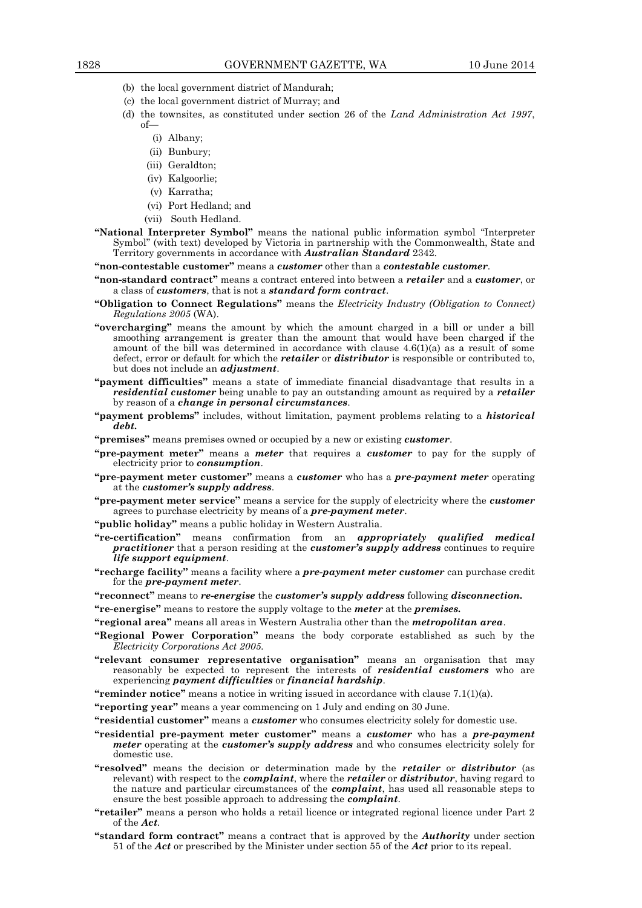- (b) the local government district of Mandurah;
- (c) the local government district of Murray; and
- (d) the townsites, as constituted under section 26 of the *Land Administration Act 1997*, of—
	- (i) Albany;
	- (ii) Bunbury;
	- (iii) Geraldton;
	- (iv) Kalgoorlie;
	- (v) Karratha;
	- (vi) Port Hedland; and
	- (vii) South Hedland.
- **"National Interpreter Symbol"** means the national public information symbol "Interpreter Symbol" (with text) developed by Victoria in partnership with the Commonwealth, State and Territory governments in accordance with *Australian Standard* 2342.
- **"non-contestable customer"** means a *customer* other than a *contestable customer*.
- **"non-standard contract"** means a contract entered into between a *retailer* and a *customer*, or a class of *customers*, that is not a *standard form contract*.
- **"Obligation to Connect Regulations"** means the *Electricity Industry (Obligation to Connect) Regulations 2005* (WA).
- **"overcharging"** means the amount by which the amount charged in a bill or under a bill smoothing arrangement is greater than the amount that would have been charged if the amount of the bill was determined in accordance with clause  $4.6(1)(a)$  as a result of some defect, error or default for which the *retailer* or *distributor* is responsible or contributed to, but does not include an *adjustment*.
- **"payment difficulties"** means a state of immediate financial disadvantage that results in a *residential customer* being unable to pay an outstanding amount as required by a *retailer* by reason of a *change in personal circumstances*.
- **"payment problems"** includes, without limitation, payment problems relating to a *historical debt.*
- **"premises"** means premises owned or occupied by a new or existing *customer*.
- **"pre-payment meter"** means a *meter* that requires a *customer* to pay for the supply of electricity prior to *consumption*.
- **"pre-payment meter customer"** means a *customer* who has a *pre-payment meter* operating at the *customer's supply address*.
- **"pre-payment meter service"** means a service for the supply of electricity where the *customer* agrees to purchase electricity by means of a *pre-payment meter*.
- **"public holiday"** means a public holiday in Western Australia.
- **"re-certification"** means confirmation from an *appropriately qualified medical practitioner* that a person residing at the *customer's supply address* continues to require *life support equipment*.
- **"recharge facility"** means a facility where a *pre-payment meter customer* can purchase credit for the *pre-payment meter*.
- **"reconnect"** means to *re-energise* the *customer's supply address* following *disconnection.*
- **"re-energise"** means to restore the supply voltage to the *meter* at the *premises.*
- **"regional area"** means all areas in Western Australia other than the *metropolitan area*.
- **"Regional Power Corporation"** means the body corporate established as such by the *Electricity Corporations Act 2005.*
- **"relevant consumer representative organisation"** means an organisation that may reasonably be expected to represent the interests of *residential customers* who are experiencing *payment difficulties* or *financial hardship*.
- **"reminder notice"** means a notice in writing issued in accordance with clause 7.1(1)(a).
- **"reporting year"** means a year commencing on 1 July and ending on 30 June.
- **"residential customer"** means a *customer* who consumes electricity solely for domestic use.
- **"residential pre-payment meter customer"** means a *customer* who has a *pre-payment meter* operating at the *customer's supply address* and who consumes electricity solely for domestic use.
- **"resolved"** means the decision or determination made by the *retailer* or *distributor* (as relevant) with respect to the *complaint*, where the *retailer* or *distributor*, having regard to the nature and particular circumstances of the *complaint*, has used all reasonable steps to ensure the best possible approach to addressing the *complaint*.
- **"retailer"** means a person who holds a retail licence or integrated regional licence under Part 2 of the *Act.*
- **"standard form contract"** means a contract that is approved by the *Authority* under section 51 of the *Act* or prescribed by the Minister under section 55 of the *Act* prior to its repeal.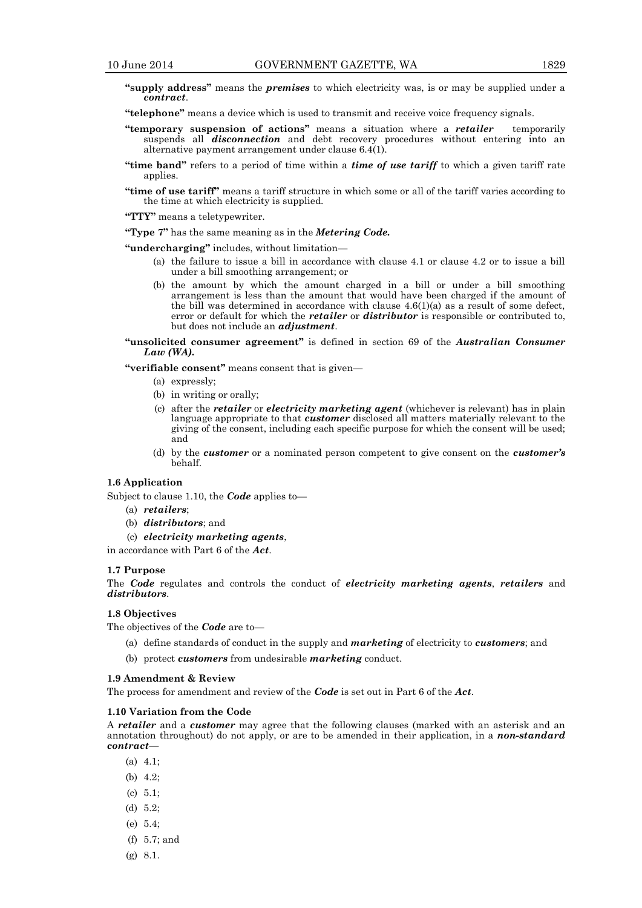- **"supply address"** means the *premises* to which electricity was, is or may be supplied under a *contract*.
- **"telephone"** means a device which is used to transmit and receive voice frequency signals.
- **"temporary suspension of actions"** means a situation where a *retailer* temporarily suspends all *disconnection* and debt recovery procedures without entering into an alternative payment arrangement under clause 6.4(1).
- **"time band"** refers to a period of time within a *time of use tariff* to which a given tariff rate applies.
- **"time of use tariff"** means a tariff structure in which some or all of the tariff varies according to the time at which electricity is supplied.

**"TTY"** means a teletypewriter.

**"Type 7"** has the same meaning as in the *Metering Code.*

**"undercharging"** includes, without limitation—

- (a) the failure to issue a bill in accordance with clause 4.1 or clause 4.2 or to issue a bill under a bill smoothing arrangement; or
- (b) the amount by which the amount charged in a bill or under a bill smoothing arrangement is less than the amount that would have been charged if the amount of the bill was determined in accordance with clause  $4.6(1)(a)$  as a result of some defect, error or default for which the *retailer* or *distributor* is responsible or contributed to, but does not include an *adjustment*.
- **"unsolicited consumer agreement"** is defined in section 69 of the *Australian Consumer Law (WA).*

**"verifiable consent"** means consent that is given—

- (a) expressly;
- (b) in writing or orally;
- (c) after the *retailer* or *electricity marketing agent* (whichever is relevant) has in plain language appropriate to that *customer* disclosed all matters materially relevant to the giving of the consent, including each specific purpose for which the consent will be used; and
- (d) by the *customer* or a nominated person competent to give consent on the *customer's* behalf.

#### **1.6 Application**

Subject to clause 1.10, the *Code* applies to—

- (a) *retailers*;
- (b) *distributors*; and
- (c) *electricity marketing agents*,

in accordance with Part 6 of the *Act*.

# **1.7 Purpose**

The *Code* regulates and controls the conduct of *electricity marketing agents*, *retailers* and *distributors*.

#### **1.8 Objectives**

The objectives of the *Code* are to—

- (a) define standards of conduct in the supply and *marketing* of electricity to *customers*; and
- (b) protect *customers* from undesirable *marketing* conduct.

# **1.9 Amendment & Review**

The process for amendment and review of the *Code* is set out in Part 6 of the *Act*.

#### **1.10 Variation from the Code**

A *retailer* and a *customer* may agree that the following clauses (marked with an asterisk and an annotation throughout) do not apply, or are to be amended in their application, in a *non-standard contract*—

- (a) 4.1;
- (b) 4.2;
- (c) 5.1;
- (d) 5.2;
- (e) 5.4;
- (f) 5.7; and
- (g) 8.1.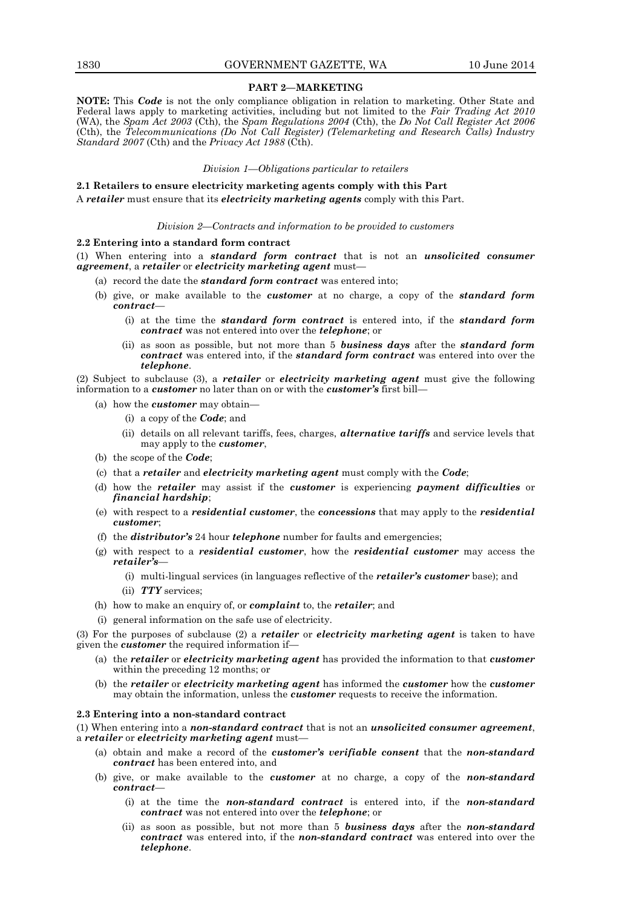#### **PART 2—MARKETING**

**NOTE:** This *Code* is not the only compliance obligation in relation to marketing. Other State and Federal laws apply to marketing activities, including but not limited to the *Fair Trading Act 2010*  (WA), the *Spam Act 2003* (Cth), the *Spam Regulations 2004* (Cth), the *Do Not Call Register Act 2006*  (Cth), the *Telecommunications (Do Not Call Register) (Telemarketing and Research Calls) Industry Standard 2007* (Cth) and the *Privacy Act 1988* (Cth).

#### *Division 1—Obligations particular to retailers*

**2.1 Retailers to ensure electricity marketing agents comply with this Part** A *retailer* must ensure that its *electricity marketing agents* comply with this Part.

#### *Division 2—Contracts and information to be provided to customers*

#### **2.2 Entering into a standard form contract**

(1) When entering into a *standard form contract* that is not an *unsolicited consumer agreement*, a *retailer* or *electricity marketing agent* must—

- (a) record the date the *standard form contract* was entered into;
- (b) give, or make available to the *customer* at no charge, a copy of the *standard form contract*—
	- (i) at the time the *standard form contract* is entered into, if the *standard form contract* was not entered into over the *telephone*; or
	- (ii) as soon as possible, but not more than 5 *business days* after the *standard form contract* was entered into, if the *standard form contract* was entered into over the *telephone*.

(2) Subject to subclause (3), a *retailer* or *electricity marketing agent* must give the following information to a *customer* no later than on or with the *customer's* first bill—

- (a) how the *customer* may obtain—
	- (i) a copy of the *Code*; and
	- (ii) details on all relevant tariffs, fees, charges, *alternative tariffs* and service levels that may apply to the *customer*,
- (b) the scope of the *Code*;
- (c) that a *retailer* and *electricity marketing agent* must comply with the *Code*;
- (d) how the *retailer* may assist if the *customer* is experiencing *payment difficulties* or *financial hardship*;
- (e) with respect to a *residential customer*, the *concessions* that may apply to the *residential customer*;
- (f) the *distributor's* 24 hour *telephone* number for faults and emergencies;
- (g) with respect to a *residential customer*, how the *residential customer* may access the *retailer's*—
	- (i) multi-lingual services (in languages reflective of the *retailer's customer* base); and
	- (ii) *TTY* services;
- (h) how to make an enquiry of, or *complaint* to, the *retailer*; and
- (i) general information on the safe use of electricity.

(3) For the purposes of subclause (2) a *retailer* or *electricity marketing agent* is taken to have given the *customer* the required information if—

- (a) the *retailer* or *electricity marketing agent* has provided the information to that *customer* within the preceding 12 months; or
- (b) the *retailer* or *electricity marketing agent* has informed the *customer* how the *customer* may obtain the information, unless the *customer* requests to receive the information.

#### **2.3 Entering into a non-standard contract**

(1) When entering into a *non-standard contract* that is not an *unsolicited consumer agreement*, a *retailer* or *electricity marketing agent* must—

- (a) obtain and make a record of the *customer's verifiable consent* that the *non-standard contract* has been entered into, and
- (b) give, or make available to the *customer* at no charge, a copy of the *non-standard contract*—
	- (i) at the time the *non-standard contract* is entered into, if the *non-standard contract* was not entered into over the *telephone*; or
	- (ii) as soon as possible, but not more than 5 *business days* after the *non-standard contract* was entered into, if the *non-standard contract* was entered into over the *telephone*.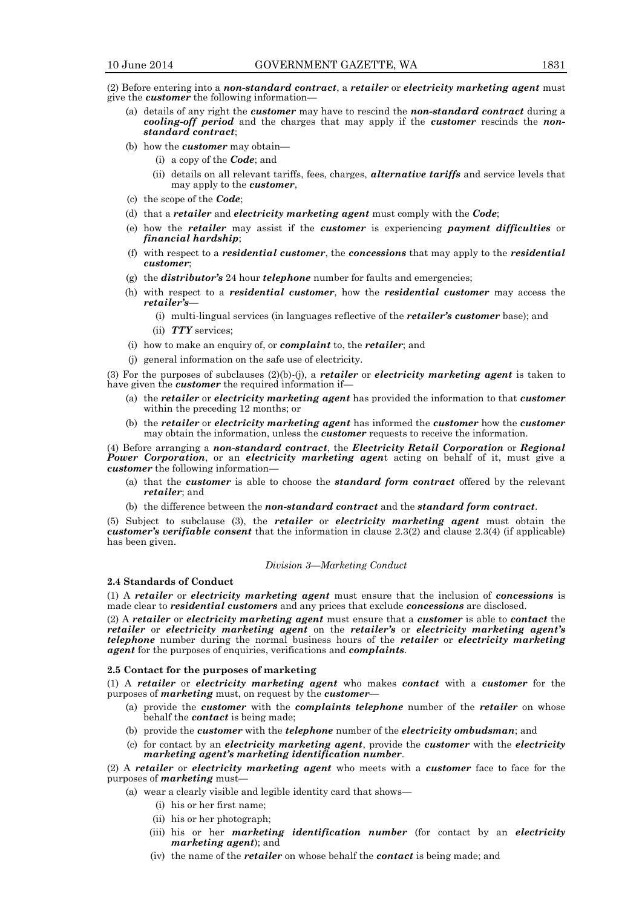(2) Before entering into a *non-standard contract*, a *retailer* or *electricity marketing agent* must give the *customer* the following information—

- (a) details of any right the *customer* may have to rescind the *non-standard contract* during a *cooling-off period* and the charges that may apply if the *customer* rescinds the *nonstandard contract*;
- (b) how the *customer* may obtain—
	- (i) a copy of the *Code*; and
	- (ii) details on all relevant tariffs, fees, charges, *alternative tariffs* and service levels that may apply to the *customer*,
- (c) the scope of the *Code*;
- (d) that a *retailer* and *electricity marketing agent* must comply with the *Code*;
- (e) how the *retailer* may assist if the *customer* is experiencing *payment difficulties* or *financial hardship*;
- (f) with respect to a *residential customer*, the *concessions* that may apply to the *residential customer*;
- (g) the *distributor's* 24 hour *telephone* number for faults and emergencies;
- (h) with respect to a *residential customer*, how the *residential customer* may access the *retailer's*—
	- (i) multi-lingual services (in languages reflective of the *retailer's customer* base); and
	- (ii) *TTY* services;
- (i) how to make an enquiry of, or *complaint* to, the *retailer*; and
- (j) general information on the safe use of electricity.

(3) For the purposes of subclauses (2)(b)-(j), a *retailer* or *electricity marketing agent* is taken to have given the *customer* the required information if—

- (a) the *retailer* or *electricity marketing agent* has provided the information to that *customer* within the preceding 12 months; or
- (b) the *retailer* or *electricity marketing agent* has informed the *customer* how the *customer* may obtain the information, unless the *customer* requests to receive the information.

(4) Before arranging a *non-standard contract*, the *Electricity Retail Corporation* or *Regional Power Corporation*, or an *electricity marketing agen*t acting on behalf of it, must give a *customer* the following information—

- (a) that the *customer* is able to choose the *standard form contract* offered by the relevant *retailer*; and
- (b) the difference between the *non-standard contract* and the *standard form contract*.

(5) Subject to subclause (3), the *retailer* or *electricity marketing agent* must obtain the *customer's verifiable consent* that the information in clause 2.3(2) and clause 2.3(4) (if applicable) has been given.

#### *Division 3—Marketing Conduct*

# **2.4 Standards of Conduct**

(1) A *retailer* or *electricity marketing agent* must ensure that the inclusion of *concessions* is made clear to *residential customers* and any prices that exclude *concessions* are disclosed.

(2) A *retailer* or *electricity marketing agent* must ensure that a *customer* is able to *contact* the *retailer* or *electricity marketing agent* on the *retailer's* or *electricity marketing agent's telephone* number during the normal business hours of the *retailer* or *electricity marketing agent* for the purposes of enquiries, verifications and *complaints*.

#### **2.5 Contact for the purposes of marketing**

(1) A *retailer* or *electricity marketing agent* who makes *contact* with a *customer* for the purposes of *marketing* must, on request by the *customer*—

- (a) provide the *customer* with the *complaints telephone* number of the *retailer* on whose behalf the *contact* is being made;
- (b) provide the *customer* with the *telephone* number of the *electricity ombudsman*; and
- (c) for contact by an *electricity marketing agent*, provide the *customer* with the *electricity marketing agent's marketing identification number*.

(2) A *retailer* or *electricity marketing agent* who meets with a *customer* face to face for the purposes of *marketing* must—

- (a) wear a clearly visible and legible identity card that shows—
	- (i) his or her first name;
	- (ii) his or her photograph;
	- (iii) his or her *marketing identification number* (for contact by an *electricity marketing agent*); and
	- (iv) the name of the *retailer* on whose behalf the *contact* is being made; and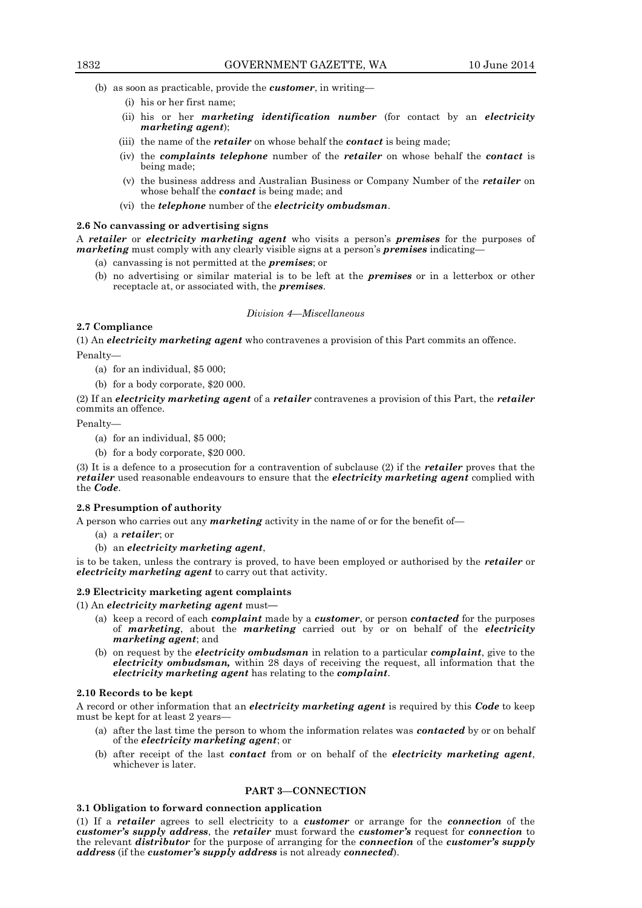- (b) as soon as practicable, provide the *customer*, in writing—
	- (i) his or her first name;
	- (ii) his or her *marketing identification number* (for contact by an *electricity marketing agent*);
	- (iii) the name of the *retailer* on whose behalf the *contact* is being made;
	- (iv) the *complaints telephone* number of the *retailer* on whose behalf the *contact* is being made;
	- (v) the business address and Australian Business or Company Number of the *retailer* on whose behalf the *contact* is being made; and
	- (vi) the *telephone* number of the *electricity ombudsman*.

#### **2.6 No canvassing or advertising signs**

A *retailer* or *electricity marketing agent* who visits a person's *premises* for the purposes of *marketing* must comply with any clearly visible signs at a person's *premises* indicating—

- (a) canvassing is not permitted at the *premises*; or
- (b) no advertising or similar material is to be left at the *premises* or in a letterbox or other receptacle at, or associated with, the *premises*.

#### *Division 4—Miscellaneous*

# **2.7 Compliance**

(1) An *electricity marketing agent* who contravenes a provision of this Part commits an offence.

Penalty—

- (a) for an individual, \$5 000;
- (b) for a body corporate, \$20 000.

(2) If an *electricity marketing agent* of a *retailer* contravenes a provision of this Part, the *retailer* commits an offence.

Penalty—

- (a) for an individual, \$5 000;
- (b) for a body corporate, \$20 000.

(3) It is a defence to a prosecution for a contravention of subclause (2) if the *retailer* proves that the *retailer* used reasonable endeavours to ensure that the *electricity marketing agent* complied with the *Code*.

#### **2.8 Presumption of authority**

A person who carries out any *marketing* activity in the name of or for the benefit of—

- (a) a *retailer*; or
- (b) an *electricity marketing agent*,

is to be taken, unless the contrary is proved, to have been employed or authorised by the *retailer* or *electricity marketing agent* to carry out that activity.

#### **2.9 Electricity marketing agent complaints**

(1) An *electricity marketing agent* must**—**

- (a) keep a record of each *complaint* made by a *customer*, or person *contacted* for the purposes of *marketing*, about the *marketing* carried out by or on behalf of the *electricity marketing agent*; and
- (b) on request by the *electricity ombudsman* in relation to a particular *complaint*, give to the *electricity ombudsman,* within 28 days of receiving the request, all information that the *electricity marketing agent* has relating to the *complaint*.

#### **2.10 Records to be kept**

A record or other information that an *electricity marketing agent* is required by this *Code* to keep must be kept for at least 2 years—

- (a) after the last time the person to whom the information relates was *contacted* by or on behalf of the *electricity marketing agent*; or
- (b) after receipt of the last *contact* from or on behalf of the *electricity marketing agent*, whichever is later.

# **PART 3—CONNECTION**

# **3.1 Obligation to forward connection application**

(1) If a *retailer* agrees to sell electricity to a *customer* or arrange for the *connection* of the *customer's supply address*, the *retailer* must forward the *customer's* request for *connection* to the relevant *distributor* for the purpose of arranging for the *connection* of the *customer's supply address* (if the *customer's supply address* is not already *connected*).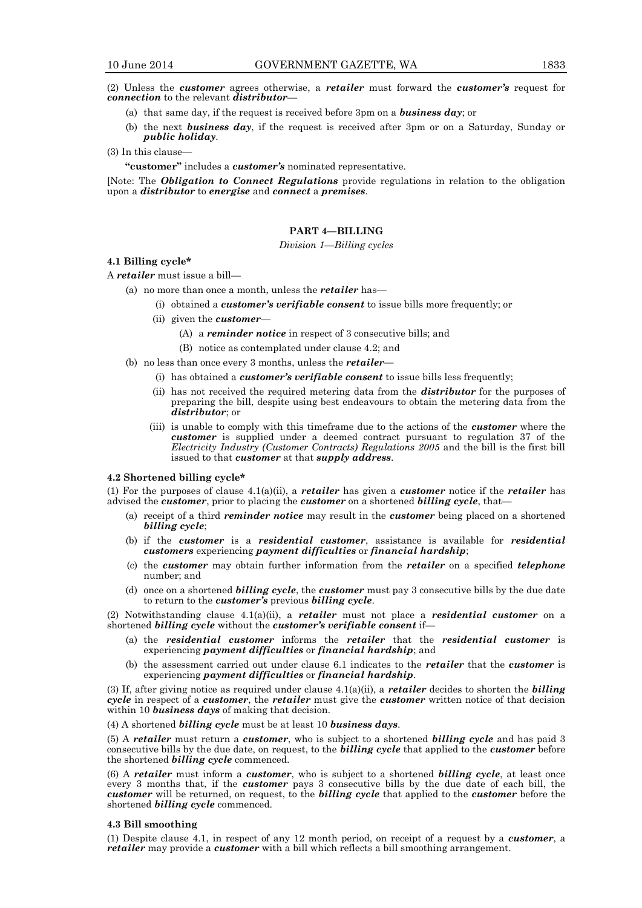(2) Unless the *customer* agrees otherwise, a *retailer* must forward the *customer's* request for *connection* to the relevant *distributor*—

- (a) that same day, if the request is received before 3pm on a *business day*; or
- (b) the next *business day*, if the request is received after 3pm or on a Saturday, Sunday or *public holiday*.

(3) In this clause—

**"customer"** includes a *customer's* nominated representative.

[Note: The *Obligation to Connect Regulations* provide regulations in relation to the obligation upon a *distributor* to *energise* and *connect* a *premises*.

# **PART 4—BILLING**

#### *Division 1—Billing cycles*

#### **4.1 Billing cycle\***

A *retailer* must issue a bill—

- (a) no more than once a month, unless the *retailer* has—
	- (i) obtained a *customer's verifiable consent* to issue bills more frequently; or
	- (ii) given the *customer*
		- (A) a *reminder notice* in respect of 3 consecutive bills; and
		- (B) notice as contemplated under clause 4.2; and
- (b) no less than once every 3 months, unless the *retailer—*
	- (i) has obtained a *customer's verifiable consent* to issue bills less frequently;
	- (ii) has not received the required metering data from the *distributor* for the purposes of preparing the bill, despite using best endeavours to obtain the metering data from the *distributor*; or
	- (iii) is unable to comply with this timeframe due to the actions of the *customer* where the *customer* is supplied under a deemed contract pursuant to regulation 37 of the *Electricity Industry (Customer Contracts) Regulations 2005* and the bill is the first bill issued to that *customer* at that *supply address*.

#### **4.2 Shortened billing cycle\***

(1) For the purposes of clause 4.1(a)(ii), a *retailer* has given a *customer* notice if the *retailer* has advised the *customer*, prior to placing the *customer* on a shortened *billing cycle*, that—

- (a) receipt of a third *reminder notice* may result in the *customer* being placed on a shortened *billing cycle*;
- (b) if the *customer* is a *residential customer*, assistance is available for *residential customers* experiencing *payment difficulties* or *financial hardship*;
- (c) the *customer* may obtain further information from the *retailer* on a specified *telephone* number; and
- (d) once on a shortened *billing cycle*, the *customer* must pay 3 consecutive bills by the due date to return to the *customer's* previous *billing cycle*.

(2) Notwithstanding clause 4.1(a)(ii), a *retailer* must not place a *residential customer* on a shortened *billing cycle* without the *customer's verifiable consent* if—

- (a) the *residential customer* informs the *retailer* that the *residential customer* is experiencing *payment difficulties* or *financial hardship*; and
- (b) the assessment carried out under clause 6.1 indicates to the *retailer* that the *customer* is experiencing *payment difficulties* or *financial hardship*.

(3) If, after giving notice as required under clause 4.1(a)(ii), a *retailer* decides to shorten the *billing cycle* in respect of a *customer*, the *retailer* must give the *customer* written notice of that decision within 10 *business days* of making that decision.

(4) A shortened *billing cycle* must be at least 10 *business days*.

(5) A *retailer* must return a *customer*, who is subject to a shortened *billing cycle* and has paid 3 consecutive bills by the due date, on request, to the *billing cycle* that applied to the *customer* before the shortened *billing cycle* commenced.

(6) A *retailer* must inform a *customer*, who is subject to a shortened *billing cycle*, at least once every 3 months that, if the *customer* pays 3 consecutive bills by the due date of each bill, the *customer* will be returned, on request, to the *billing cycle* that applied to the *customer* before the shortened *billing cycle* commenced.

# **4.3 Bill smoothing**

(1) Despite clause 4.1, in respect of any 12 month period, on receipt of a request by a *customer*, a *retailer* may provide a *customer* with a bill which reflects a bill smoothing arrangement.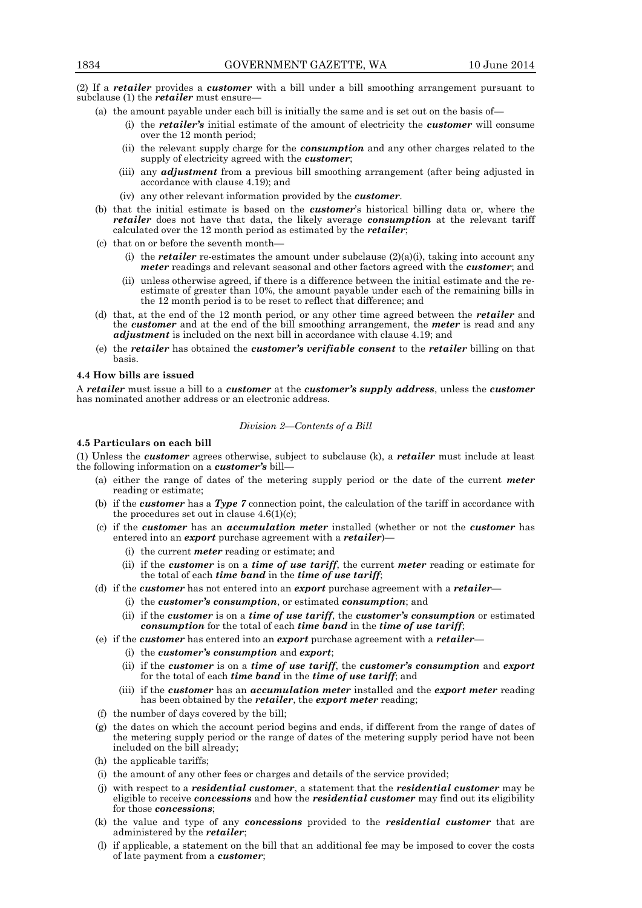(2) If a *retailer* provides a *customer* with a bill under a bill smoothing arrangement pursuant to subclause (1) the *retailer* must ensure—

- (a) the amount payable under each bill is initially the same and is set out on the basis of—
	- (i) the *retailer's* initial estimate of the amount of electricity the *customer* will consume over the 12 month period;
	- (ii) the relevant supply charge for the *consumption* and any other charges related to the supply of electricity agreed with the *customer*;
	- (iii) any *adjustment* from a previous bill smoothing arrangement (after being adjusted in accordance with clause 4.19); and
	- (iv) any other relevant information provided by the *customer*.
- (b) that the initial estimate is based on the *customer*'s historical billing data or, where the *retailer* does not have that data, the likely average *consumption* at the relevant tariff calculated over the 12 month period as estimated by the *retailer*;
- (c) that on or before the seventh month—
	- (i) the *retailer* re-estimates the amount under subclause  $(2)(a)(i)$ , taking into account any *meter* readings and relevant seasonal and other factors agreed with the *customer*; and
	- (ii) unless otherwise agreed, if there is a difference between the initial estimate and the reestimate of greater than 10%, the amount payable under each of the remaining bills in the 12 month period is to be reset to reflect that difference; and
- (d) that, at the end of the 12 month period, or any other time agreed between the *retailer* and the *customer* and at the end of the bill smoothing arrangement, the *meter* is read and any *adjustment* is included on the next bill in accordance with clause 4.19; and
- (e) the *retailer* has obtained the *customer's verifiable consent* to the *retailer* billing on that basis.

# **4.4 How bills are issued**

A *retailer* must issue a bill to a *customer* at the *customer's supply address*, unless the *customer* has nominated another address or an electronic address.

#### *Division 2—Contents of a Bill*

# **4.5 Particulars on each bill**

(1) Unless the *customer* agrees otherwise, subject to subclause (k), a *retailer* must include at least the following information on a *customer's* bill—

- (a) either the range of dates of the metering supply period or the date of the current *meter* reading or estimate;
- (b) if the *customer* has a *Type 7* connection point, the calculation of the tariff in accordance with the procedures set out in clause  $4.6(1)(c)$ ;
- (c) if the *customer* has an *accumulation meter* installed (whether or not the *customer* has entered into an *export* purchase agreement with a *retailer*)—
	- (i) the current *meter* reading or estimate; and
	- (ii) if the *customer* is on a *time of use tariff*, the current *meter* reading or estimate for the total of each *time band* in the *time of use tariff*;
- (d) if the *customer* has not entered into an *export* purchase agreement with a *retailer*
	- (i) the *customer's consumption*, or estimated *consumption*; and
	- (ii) if the *customer* is on a *time of use tariff*, the *customer's consumption* or estimated *consumption* for the total of each *time band* in the *time of use tariff*;
- (e) if the *customer* has entered into an *export* purchase agreement with a *retailer*
	- (i) the *customer's consumption* and *export*;
	- (ii) if the *customer* is on a *time of use tariff*, the *customer's consumption* and *export* for the total of each *time band* in the *time of use tariff*; and
	- (iii) if the *customer* has an *accumulation meter* installed and the *export meter* reading has been obtained by the *retailer*, the *export meter* reading;
- (f) the number of days covered by the bill;
- (g) the dates on which the account period begins and ends, if different from the range of dates of the metering supply period or the range of dates of the metering supply period have not been included on the bill already;
- (h) the applicable tariffs;
- (i) the amount of any other fees or charges and details of the service provided;
- (j) with respect to a *residential customer*, a statement that the *residential customer* may be eligible to receive *concessions* and how the *residential customer* may find out its eligibility for those *concessions*;
- (k) the value and type of any *concessions* provided to the *residential customer* that are administered by the *retailer*;
- (l) if applicable, a statement on the bill that an additional fee may be imposed to cover the costs of late payment from a *customer*;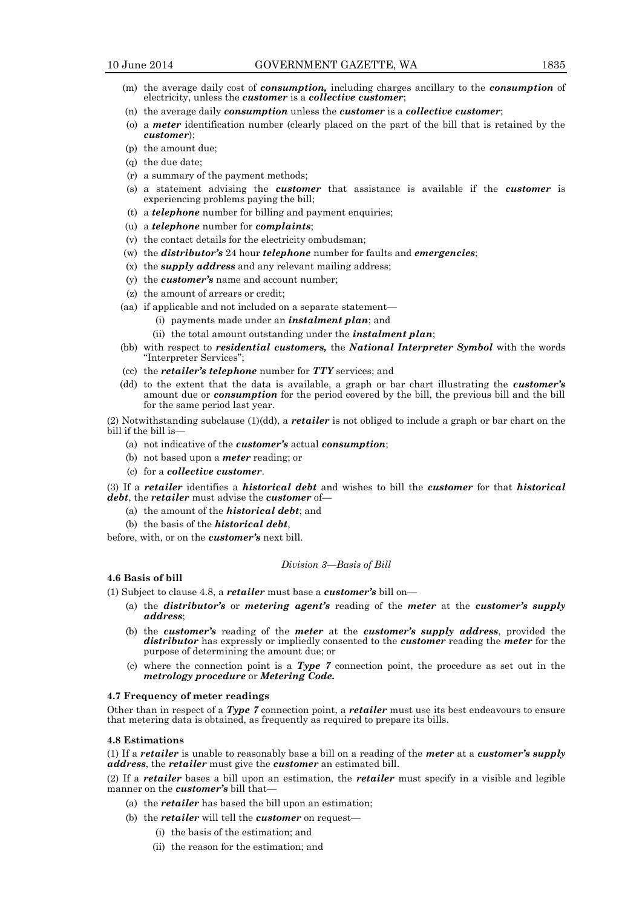- (m) the average daily cost of *consumption,* including charges ancillary to the *consumption* of electricity, unless the *customer* is a *collective customer*;
- (n) the average daily *consumption* unless the *customer* is a *collective customer*;
- (o) a *meter* identification number (clearly placed on the part of the bill that is retained by the *customer*);
- (p) the amount due;
- (q) the due date;
- (r) a summary of the payment methods;
- (s) a statement advising the *customer* that assistance is available if the *customer* is experiencing problems paying the bill;
- (t) a *telephone* number for billing and payment enquiries;
- (u) a *telephone* number for *complaints*;
- (v) the contact details for the electricity ombudsman;
- (w) the *distributor's* 24 hour *telephone* number for faults and *emergencies*;
- (x) the *supply address* and any relevant mailing address;
- (y) the *customer's* name and account number;
- (z) the amount of arrears or credit;
- (aa) if applicable and not included on a separate statement—
	- (i) payments made under an *instalment plan*; and
	- (ii) the total amount outstanding under the *instalment plan*;
- (bb) with respect to *residential customers,* the *National Interpreter Symbol* with the words "Interpreter Services";
- (cc) the *retailer's telephone* number for *TTY* services; and
- (dd) to the extent that the data is available, a graph or bar chart illustrating the *customer's* amount due or *consumption* for the period covered by the bill, the previous bill and the bill for the same period last year.
- (2) Notwithstanding subclause (1)(dd), a *retailer* is not obliged to include a graph or bar chart on the bill if the bill is—
	- (a) not indicative of the *customer's* actual *consumption*;
	- (b) not based upon a *meter* reading; or
	- (c) for a *collective customer*.

(3) If a *retailer* identifies a *historical debt* and wishes to bill the *customer* for that *historical debt*, the *retailer* must advise the *customer* of—

- (a) the amount of the *historical debt*; and
- (b) the basis of the *historical debt*,

before, with, or on the *customer's* next bill.

# *Division 3—Basis of Bill*

#### **4.6 Basis of bill**

(1) Subject to clause 4.8, a *retailer* must base a *customer's* bill on—

- (a) the *distributor's* or *metering agent's* reading of the *meter* at the *customer's supply address*;
- (b) the *customer's* reading of the *meter* at the *customer's supply address*, provided the *distributor* has expressly or impliedly consented to the *customer* reading the *meter* for the purpose of determining the amount due; or
- (c) where the connection point is a *Type 7* connection point, the procedure as set out in the *metrology procedure* or *Metering Code.*

#### **4.7 Frequency of meter readings**

Other than in respect of a *Type 7* connection point, a *retailer* must use its best endeavours to ensure that metering data is obtained, as frequently as required to prepare its bills.

#### **4.8 Estimations**

(1) If a *retailer* is unable to reasonably base a bill on a reading of the *meter* at a *customer's supply address*, the *retailer* must give the *customer* an estimated bill.

(2) If a *retailer* bases a bill upon an estimation, the *retailer* must specify in a visible and legible manner on the *customer's* bill that—

- (a) the *retailer* has based the bill upon an estimation;
- (b) the *retailer* will tell the *customer* on request—
	- (i) the basis of the estimation; and
	- (ii) the reason for the estimation; and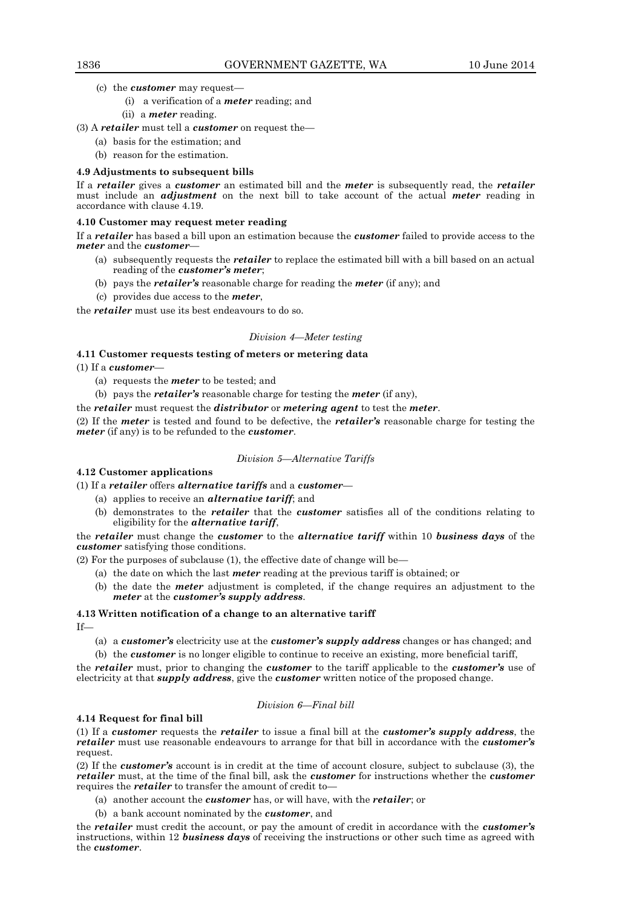- (c) the *customer* may request—
	- (i) a verification of a *meter* reading; and
	- (ii) a *meter* reading.
- (3) A *retailer* must tell a *customer* on request the—
	- (a) basis for the estimation; and
	- (b) reason for the estimation.

# **4.9 Adjustments to subsequent bills**

If a *retailer* gives a *customer* an estimated bill and the *meter* is subsequently read, the *retailer* must include an *adjustment* on the next bill to take account of the actual *meter* reading in accordance with clause 4.19.

# **4.10 Customer may request meter reading**

If a *retailer* has based a bill upon an estimation because the *customer* failed to provide access to the *meter* and the *customer*—

- (a) subsequently requests the *retailer* to replace the estimated bill with a bill based on an actual reading of the *customer's meter*;
- (b) pays the *retailer's* reasonable charge for reading the *meter* (if any); and
- (c) provides due access to the *meter*,

the *retailer* must use its best endeavours to do so.

# *Division 4—Meter testing*

# **4.11 Customer requests testing of meters or metering data**

(1) If a *customer*—

- (a) requests the *meter* to be tested; and
- (b) pays the *retailer's* reasonable charge for testing the *meter* (if any),

the *retailer* must request the *distributor* or *metering agent* to test the *meter*.

(2) If the *meter* is tested and found to be defective, the *retailer's* reasonable charge for testing the *meter* (if any) is to be refunded to the *customer*.

# *Division 5—Alternative Tariffs*

**4.12 Customer applications**

(1) If a *retailer* offers *alternative tariffs* and a *customer*—

- (a) applies to receive an *alternative tariff*; and
- (b) demonstrates to the *retailer* that the *customer* satisfies all of the conditions relating to eligibility for the *alternative tariff*,

the *retailer* must change the *customer* to the *alternative tariff* within 10 *business days* of the *customer* satisfying those conditions.

(2) For the purposes of subclause (1), the effective date of change will be—

- (a) the date on which the last *meter* reading at the previous tariff is obtained; or
- (b) the date the *meter* adjustment is completed, if the change requires an adjustment to the *meter* at the *customer's supply address*.

# **4.13 Written notification of a change to an alternative tariff**

If—

(a) a *customer's* electricity use at the *customer's supply address* changes or has changed; and

(b) the *customer* is no longer eligible to continue to receive an existing, more beneficial tariff,

the *retailer* must, prior to changing the *customer* to the tariff applicable to the *customer's* use of electricity at that *supply address*, give the *customer* written notice of the proposed change.

## *Division 6—Final bill*

# **4.14 Request for final bill**

(1) If a *customer* requests the *retailer* to issue a final bill at the *customer's supply address*, the *retailer* must use reasonable endeavours to arrange for that bill in accordance with the *customer's* request.

(2) If the *customer's* account is in credit at the time of account closure, subject to subclause (3), the *retailer* must, at the time of the final bill, ask the *customer* for instructions whether the *customer* requires the *retailer* to transfer the amount of credit to-

- (a) another account the *customer* has, or will have, with the *retailer*; or
- (b) a bank account nominated by the *customer*, and

the *retailer* must credit the account, or pay the amount of credit in accordance with the *customer's* instructions, within 12 *business days* of receiving the instructions or other such time as agreed with the *customer*.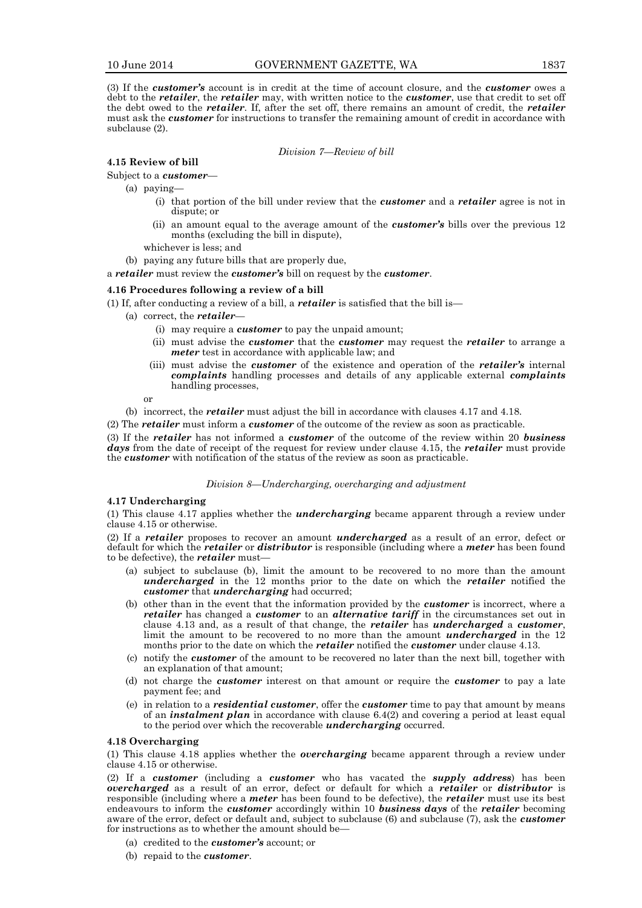(3) If the *customer's* account is in credit at the time of account closure, and the *customer* owes a debt to the *retailer*, the *retailer* may, with written notice to the *customer*, use that credit to set off the debt owed to the *retailer*. If, after the set off, there remains an amount of credit, the *retailer* must ask the *customer* for instructions to transfer the remaining amount of credit in accordance with subclause (2).

#### *Division 7—Review of bill*

# **4.15 Review of bill**

Subject to a *customer*—

(a) paying—

- (i) that portion of the bill under review that the *customer* and a *retailer* agree is not in dispute; or
- (ii) an amount equal to the average amount of the *customer's* bills over the previous 12 months (excluding the bill in dispute),
- whichever is less; and

(b) paying any future bills that are properly due,

a *retailer* must review the *customer's* bill on request by the *customer*.

## **4.16 Procedures following a review of a bill**

(1) If, after conducting a review of a bill, a *retailer* is satisfied that the bill is—

- (a) correct, the *retailer*
	- (i) may require a *customer* to pay the unpaid amount;
	- (ii) must advise the *customer* that the *customer* may request the *retailer* to arrange a *meter* test in accordance with applicable law; and
	- (iii) must advise the *customer* of the existence and operation of the *retailer's* internal *complaints* handling processes and details of any applicable external *complaints* handling processes,

or

(b) incorrect, the *retailer* must adjust the bill in accordance with clauses 4.17 and 4.18.

(2) The *retailer* must inform a *customer* of the outcome of the review as soon as practicable.

(3) If the *retailer* has not informed a *customer* of the outcome of the review within 20 *business days* from the date of receipt of the request for review under clause 4.15, the *retailer* must provide the *customer* with notification of the status of the review as soon as practicable.

#### *Division 8—Undercharging, overcharging and adjustment*

#### **4.17 Undercharging**

(1) This clause 4.17 applies whether the *undercharging* became apparent through a review under clause 4.15 or otherwise.

(2) If a *retailer* proposes to recover an amount *undercharged* as a result of an error, defect or default for which the *retailer* or *distributor* is responsible (including where a *meter* has been found to be defective), the *retailer* must—

- (a) subject to subclause (b), limit the amount to be recovered to no more than the amount *undercharged* in the 12 months prior to the date on which the *retailer* notified the *customer* that *undercharging* had occurred;
- (b) other than in the event that the information provided by the *customer* is incorrect, where a *retailer* has changed a *customer* to an *alternative tariff* in the circumstances set out in clause 4.13 and, as a result of that change, the *retailer* has *undercharged* a *customer*, limit the amount to be recovered to no more than the amount *undercharged* in the 12 months prior to the date on which the *retailer* notified the *customer* under clause 4.13.
- (c) notify the *customer* of the amount to be recovered no later than the next bill, together with an explanation of that amount;
- (d) not charge the *customer* interest on that amount or require the *customer* to pay a late payment fee; and
- (e) in relation to a *residential customer*, offer the *customer* time to pay that amount by means of an *instalment plan* in accordance with clause 6.4(2) and covering a period at least equal to the period over which the recoverable *undercharging* occurred.

## **4.18 Overcharging**

(1) This clause 4.18 applies whether the *overcharging* became apparent through a review under clause 4.15 or otherwise.

(2) If a *customer* (including a *customer* who has vacated the *supply address*) has been *overcharged* as a result of an error, defect or default for which a *retailer* or *distributor* is responsible (including where a *meter* has been found to be defective), the *retailer* must use its best endeavours to inform the *customer* accordingly within 10 *business days* of the *retailer* becoming aware of the error, defect or default and, subject to subclause (6) and subclause (7), ask the *customer* for instructions as to whether the amount should be—

- (a) credited to the *customer's* account; or
- (b) repaid to the *customer*.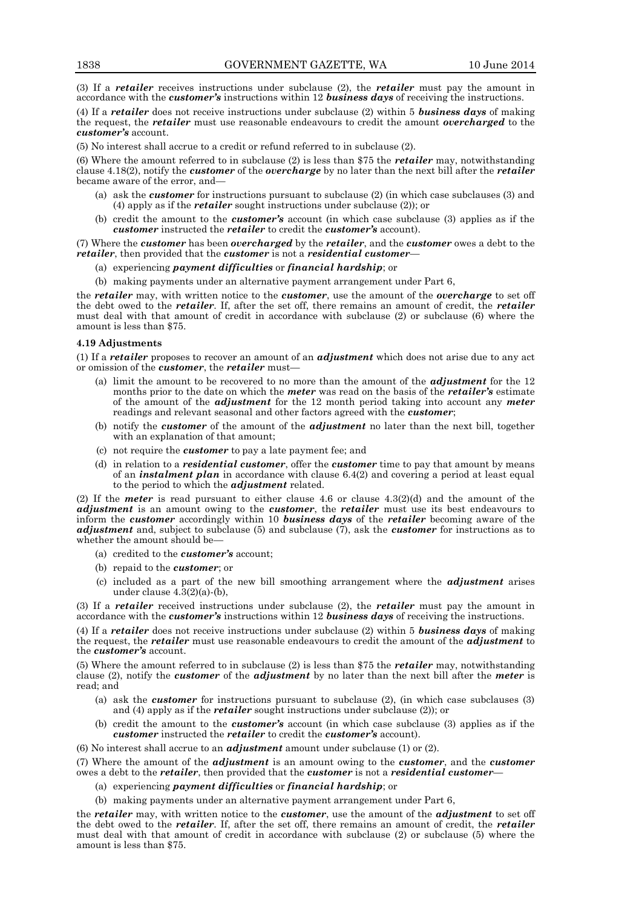(3) If a *retailer* receives instructions under subclause (2), the *retailer* must pay the amount in accordance with the *customer's* instructions within 12 *business days* of receiving the instructions.

(4) If a *retailer* does not receive instructions under subclause (2) within 5 *business days* of making the request, the *retailer* must use reasonable endeavours to credit the amount *overcharged* to the *customer's* account.

(5) No interest shall accrue to a credit or refund referred to in subclause (2).

(6) Where the amount referred to in subclause (2) is less than \$75 the *retailer* may, notwithstanding clause 4.18(2), notify the *customer* of the *overcharge* by no later than the next bill after the *retailer* became aware of the error, and—

- (a) ask the *customer* for instructions pursuant to subclause (2) (in which case subclauses (3) and (4) apply as if the *retailer* sought instructions under subclause (2)); or
- (b) credit the amount to the *customer's* account (in which case subclause (3) applies as if the *customer* instructed the *retailer* to credit the *customer's* account).

(7) Where the *customer* has been *overcharged* by the *retailer*, and the *customer* owes a debt to the *retailer*, then provided that the *customer* is not a *residential customer*—

- (a) experiencing *payment difficulties* or *financial hardship*; or
- (b) making payments under an alternative payment arrangement under Part 6,

the *retailer* may, with written notice to the *customer*, use the amount of the *overcharge* to set off the debt owed to the *retailer*. If, after the set off, there remains an amount of credit, the *retailer* must deal with that amount of credit in accordance with subclause (2) or subclause (6) where the amount is less than \$75.

#### **4.19 Adjustments**

(1) If a *retailer* proposes to recover an amount of an *adjustment* which does not arise due to any act or omission of the *customer*, the *retailer* must—

- (a) limit the amount to be recovered to no more than the amount of the *adjustment* for the 12 months prior to the date on which the *meter* was read on the basis of the *retailer's* estimate of the amount of the *adjustment* for the 12 month period taking into account any *meter*  readings and relevant seasonal and other factors agreed with the *customer*;
- (b) notify the *customer* of the amount of the *adjustment* no later than the next bill, together with an explanation of that amount;
- (c) not require the *customer* to pay a late payment fee; and
- (d) in relation to a *residential customer*, offer the *customer* time to pay that amount by means of an *instalment plan* in accordance with clause 6.4(2) and covering a period at least equal to the period to which the *adjustment* related.

(2) If the *meter* is read pursuant to either clause 4.6 or clause 4.3(2)(d) and the amount of the *adjustment* is an amount owing to the *customer*, the *retailer* must use its best endeavours to inform the *customer* accordingly within 10 *business days* of the *retailer* becoming aware of the *adjustment* and, subject to subclause (5) and subclause (7), ask the *customer* for instructions as to whether the amount should be—

- (a) credited to the *customer's* account;
- (b) repaid to the *customer*; or
- (c) included as a part of the new bill smoothing arrangement where the *adjustment* arises under clause 4.3(2)(a)-(b),

(3) If a *retailer* received instructions under subclause (2), the *retailer* must pay the amount in accordance with the *customer's* instructions within 12 *business days* of receiving the instructions.

(4) If a *retailer* does not receive instructions under subclause (2) within 5 *business days* of making the request, the *retailer* must use reasonable endeavours to credit the amount of the *adjustment* to the *customer's* account.

(5) Where the amount referred to in subclause (2) is less than \$75 the *retailer* may, notwithstanding clause (2), notify the *customer* of the *adjustment* by no later than the next bill after the *meter* is read; and

- (a) ask the *customer* for instructions pursuant to subclause (2), (in which case subclauses (3) and (4) apply as if the *retailer* sought instructions under subclause (2)); or
- (b) credit the amount to the *customer's* account (in which case subclause (3) applies as if the *customer* instructed the *retailer* to credit the *customer's* account).

(6) No interest shall accrue to an *adjustment* amount under subclause (1) or (2).

(7) Where the amount of the *adjustment* is an amount owing to the *customer*, and the *customer* owes a debt to the *retailer*, then provided that the *customer* is not a *residential customer*—

- (a) experiencing *payment difficulties* or *financial hardship*; or
- (b) making payments under an alternative payment arrangement under Part 6,

the *retailer* may, with written notice to the *customer*, use the amount of the *adjustment* to set off the debt owed to the *retailer*. If, after the set off, there remains an amount of credit, the *retailer* must deal with that amount of credit in accordance with subclause (2) or subclause (5) where the amount is less than \$75.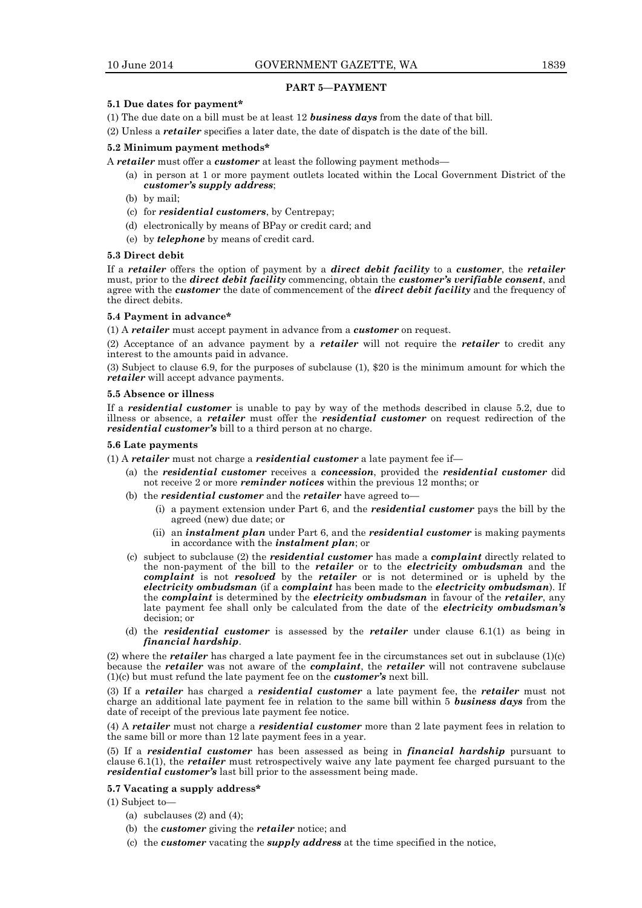# **PART 5—PAYMENT**

#### **5.1 Due dates for payment\***

- (1) The due date on a bill must be at least 12 *business days* from the date of that bill.
- (2) Unless a *retailer* specifies a later date, the date of dispatch is the date of the bill.

#### **5.2 Minimum payment methods\***

A *retailer* must offer a *customer* at least the following payment methods—

- (a) in person at 1 or more payment outlets located within the Local Government District of the *customer's supply address*;
- (b) by mail;
- (c) for *residential customers*, by Centrepay;
- (d) electronically by means of BPay or credit card; and
- (e) by *telephone* by means of credit card.

#### **5.3 Direct debit**

If a *retailer* offers the option of payment by a *direct debit facility* to a *customer*, the *retailer* must, prior to the *direct debit facility* commencing, obtain the *customer's verifiable consent*, and agree with the *customer* the date of commencement of the *direct debit facility* and the frequency of the direct debits.

#### **5.4 Payment in advance\***

(1) A *retailer* must accept payment in advance from a *customer* on request.

(2) Acceptance of an advance payment by a *retailer* will not require the *retailer* to credit any interest to the amounts paid in advance.

(3) Subject to clause 6.9, for the purposes of subclause (1), \$20 is the minimum amount for which the *retailer* will accept advance payments.

#### **5.5 Absence or illness**

If a *residential customer* is unable to pay by way of the methods described in clause 5.2, due to illness or absence, a *retailer* must offer the *residential customer* on request redirection of the *residential customer's* bill to a third person at no charge.

#### **5.6 Late payments**

(1) A *retailer* must not charge a *residential customer* a late payment fee if—

- (a) the *residential customer* receives a *concession*, provided the *residential customer* did not receive 2 or more *reminder notices* within the previous 12 months; or
- (b) the *residential customer* and the *retailer* have agreed to—
	- (i) a payment extension under Part 6, and the *residential customer* pays the bill by the agreed (new) due date; or
	- (ii) an *instalment plan* under Part 6, and the *residential customer* is making payments in accordance with the *instalment plan*; or
- (c) subject to subclause (2) the *residential customer* has made a *complaint* directly related to the non-payment of the bill to the *retailer* or to the *electricity ombudsman* and the *complaint* is not *resolved* by the *retailer* or is not determined or is upheld by the *electricity ombudsman* (if a *complaint* has been made to the *electricity ombudsman*). If the *complaint* is determined by the *electricity ombudsman* in favour of the *retailer*, any late payment fee shall only be calculated from the date of the *electricity ombudsman's* decision; or
- (d) the *residential customer* is assessed by the *retailer* under clause 6.1(1) as being in *financial hardship*.

(2) where the *retailer* has charged a late payment fee in the circumstances set out in subclause (1)(c) because the *retailer* was not aware of the *complaint*, the *retailer* will not contravene subclause (1)(c) but must refund the late payment fee on the *customer's* next bill.

(3) If a *retailer* has charged a *residential customer* a late payment fee, the *retailer* must not charge an additional late payment fee in relation to the same bill within 5 *business days* from the date of receipt of the previous late payment fee notice.

(4) A *retailer* must not charge a *residential customer* more than 2 late payment fees in relation to the same bill or more than 12 late payment fees in a year.

(5) If a *residential customer* has been assessed as being in *financial hardship* pursuant to clause 6.1(1), the *retailer* must retrospectively waive any late payment fee charged pursuant to the *residential customer's* last bill prior to the assessment being made.

#### **5.7 Vacating a supply address\***

(1) Subject to—

- (a) subclauses  $(2)$  and  $(4)$ ;
- (b) the *customer* giving the *retailer* notice; and
- (c) the *customer* vacating the *supply address* at the time specified in the notice,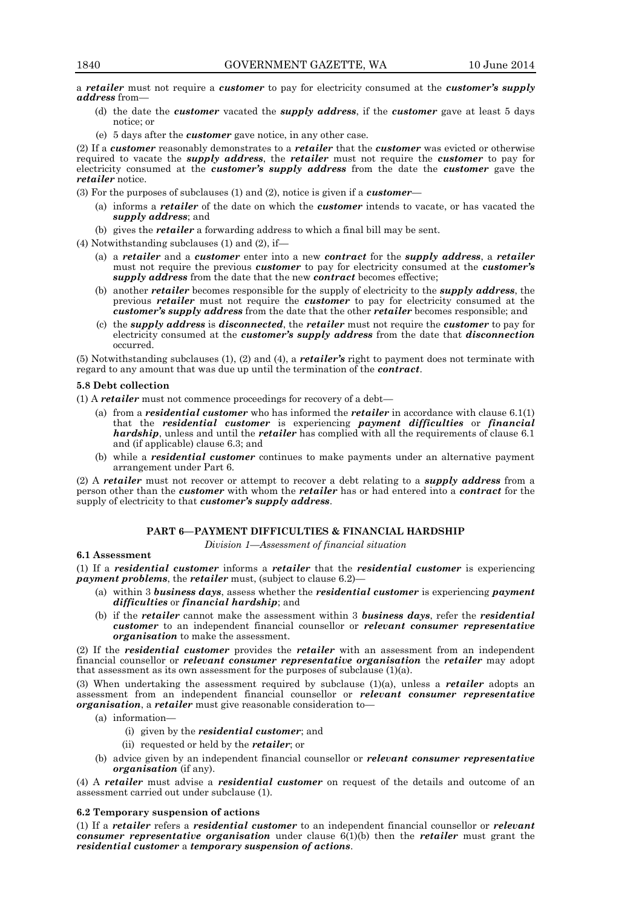a *retailer* must not require a *customer* to pay for electricity consumed at the *customer's supply address* from—

- (d) the date the *customer* vacated the *supply address*, if the *customer* gave at least 5 days notice; or
- (e) 5 days after the *customer* gave notice, in any other case.

(2) If a *customer* reasonably demonstrates to a *retailer* that the *customer* was evicted or otherwise required to vacate the *supply address*, the *retailer* must not require the *customer* to pay for electricity consumed at the *customer's supply address* from the date the *customer* gave the *retailer* notice.

(3) For the purposes of subclauses (1) and (2), notice is given if a *customer*—

- (a) informs a *retailer* of the date on which the *customer* intends to vacate, or has vacated the *supply address*; and
- (b) gives the *retailer* a forwarding address to which a final bill may be sent.

# (4) Notwithstanding subclauses (1) and (2), if—

- (a) a *retailer* and a *customer* enter into a new *contract* for the *supply address*, a *retailer* must not require the previous *customer* to pay for electricity consumed at the *customer's supply address* from the date that the new *contract* becomes effective;
- (b) another *retailer* becomes responsible for the supply of electricity to the *supply address*, the previous *retailer* must not require the *customer* to pay for electricity consumed at the *customer's supply address* from the date that the other *retailer* becomes responsible; and
- (c) the *supply address* is *disconnected*, the *retailer* must not require the *customer* to pay for electricity consumed at the *customer's supply address* from the date that *disconnection* occurred.

(5) Notwithstanding subclauses (1), (2) and (4), a *retailer's* right to payment does not terminate with regard to any amount that was due up until the termination of the *contract*.

#### **5.8 Debt collection**

(1) A *retailer* must not commence proceedings for recovery of a debt—

- (a) from a *residential customer* who has informed the *retailer* in accordance with clause 6.1(1) that the *residential customer* is experiencing *payment difficulties* or *financial hardship*, unless and until the *retailer* has complied with all the requirements of clause 6.1 and (if applicable) clause 6.3; and
- (b) while a *residential customer* continues to make payments under an alternative payment arrangement under Part 6.

(2) A *retailer* must not recover or attempt to recover a debt relating to a *supply address* from a person other than the *customer* with whom the *retailer* has or had entered into a *contract* for the supply of electricity to that *customer's supply address*.

# **PART 6—PAYMENT DIFFICULTIES & FINANCIAL HARDSHIP**

*Division 1—Assessment of financial situation*

#### **6.1 Assessment**

(1) If a *residential customer* informs a *retailer* that the *residential customer* is experiencing *payment problems*, the *retailer* must, (subject to clause 6.2)—

- (a) within 3 *business days*, assess whether the *residential customer* is experiencing *payment difficulties* or *financial hardship*; and
- (b) if the *retailer* cannot make the assessment within 3 *business days*, refer the *residential customer* to an independent financial counsellor or *relevant consumer representative organisation* to make the assessment.

(2) If the *residential customer* provides the *retailer* with an assessment from an independent financial counsellor or *relevant consumer representative organisation* the *retailer* may adopt that assessment as its own assessment for the purposes of subclause (1)(a).

(3) When undertaking the assessment required by subclause (1)(a), unless a *retailer* adopts an assessment from an independent financial counsellor or *relevant consumer representative organisation*, a *retailer* must give reasonable consideration to—

- (a) information—
	- (i) given by the *residential customer*; and
	- (ii) requested or held by the *retailer*; or
- (b) advice given by an independent financial counsellor or *relevant consumer representative organisation* (if any).

(4) A *retailer* must advise a *residential customer* on request of the details and outcome of an assessment carried out under subclause (1).

#### **6.2 Temporary suspension of actions**

(1) If a *retailer* refers a *residential customer* to an independent financial counsellor or *relevant consumer representative organisation* under clause 6(1)(b) then the *retailer* must grant the *residential customer* a *temporary suspension of actions*.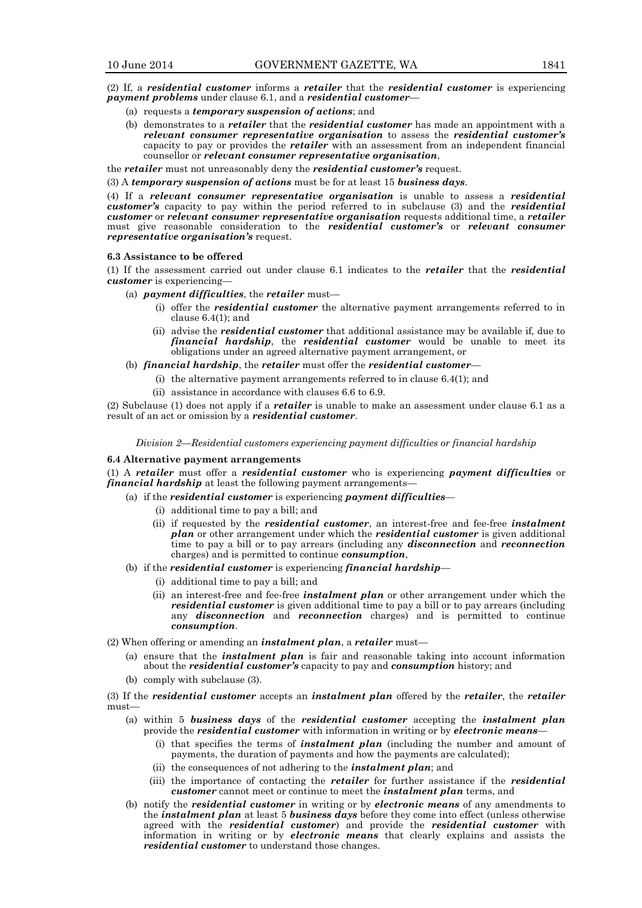(2) If, a *residential customer* informs a *retailer* that the *residential customer* is experiencing *payment problems* under clause 6.1, and a *residential customer*—

- (a) requests a *temporary suspension of actions*; and
- (b) demonstrates to a *retailer* that the *residential customer* has made an appointment with a *relevant consumer representative organisation* to assess the *residential customer's* capacity to pay or provides the *retailer* with an assessment from an independent financial counsellor or *relevant consumer representative organisation*,

the *retailer* must not unreasonably deny the *residential customer's* request.

(3) A *temporary suspension of actions* must be for at least 15 *business days*.

(4) If a *relevant consumer representative organisation* is unable to assess a *residential customer's* capacity to pay within the period referred to in subclause (3) and the *residential customer* or *relevant consumer representative organisation* requests additional time, a *retailer* must give reasonable consideration to the *residential customer's* or *relevant consumer representative organisation's* request.

#### **6.3 Assistance to be offered**

(1) If the assessment carried out under clause 6.1 indicates to the *retailer* that the *residential customer* is experiencing—

- (a) *payment difficulties*, the *retailer* must—
	- (i) offer the *residential customer* the alternative payment arrangements referred to in clause 6.4(1); and
	- (ii) advise the *residential customer* that additional assistance may be available if, due to *financial hardship*, the *residential customer* would be unable to meet its obligations under an agreed alternative payment arrangement, or

(b) *financial hardship*, the *retailer* must offer the *residential customer*—

- (i) the alternative payment arrangements referred to in clause 6.4(1); and
- (ii) assistance in accordance with clauses 6.6 to 6.9.

(2) Subclause (1) does not apply if a *retailer* is unable to make an assessment under clause 6.1 as a result of an act or omission by a *residential customer*.

*Division 2—Residential customers experiencing payment difficulties or financial hardship*

#### **6.4 Alternative payment arrangements**

(1) A *retailer* must offer a *residential customer* who is experiencing *payment difficulties* or *financial hardship* at least the following payment arrangements

- (a) if the *residential customer* is experiencing *payment difficulties*
	- (i) additional time to pay a bill; and
	- (ii) if requested by the *residential customer*, an interest-free and fee-free *instalment plan* or other arrangement under which the *residential customer* is given additional time to pay a bill or to pay arrears (including any *disconnection* and *reconnection* charges) and is permitted to continue *consumption*,
- (b) if the *residential customer* is experiencing *financial hardship*
	- (i) additional time to pay a bill; and
		- (ii) an interest-free and fee-free *instalment plan* or other arrangement under which the *residential customer* is given additional time to pay a bill or to pay arrears (including any *disconnection* and *reconnection* charges) and is permitted to continue *consumption*.

(2) When offering or amending an *instalment plan*, a *retailer* must—

- (a) ensure that the *instalment plan* is fair and reasonable taking into account information about the *residential customer's* capacity to pay and *consumption* history; and
- (b) comply with subclause (3).

(3) If the *residential customer* accepts an *instalment plan* offered by the *retailer*, the *retailer* must—

- (a) within 5 *business days* of the *residential customer* accepting the *instalment plan* provide the *residential customer* with information in writing or by *electronic means*—
	- (i) that specifies the terms of *instalment plan* (including the number and amount of payments, the duration of payments and how the payments are calculated);
	- (ii) the consequences of not adhering to the *instalment plan*; and
	- (iii) the importance of contacting the *retailer* for further assistance if the *residential customer* cannot meet or continue to meet the *instalment plan* terms, and
- (b) notify the *residential customer* in writing or by *electronic means* of any amendments to the *instalment plan* at least 5 *business days* before they come into effect (unless otherwise agreed with the *residential customer*) and provide the *residential customer* with information in writing or by *electronic means* that clearly explains and assists the *residential customer* to understand those changes.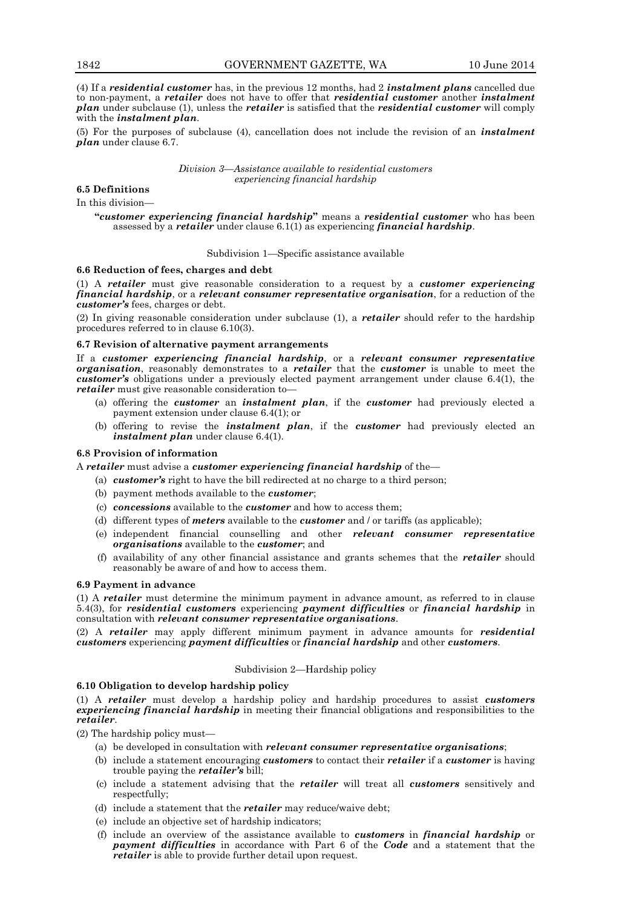(4) If a *residential customer* has, in the previous 12 months, had 2 *instalment plans* cancelled due to non-payment, a *retailer* does not have to offer that *residential customer* another *instalment plan* under subclause (1), unless the *retailer* is satisfied that the *residential customer* will comply with the *instalment plan*.

(5) For the purposes of subclause (4), cancellation does not include the revision of an *instalment plan* under clause 6.7.

#### *Division 3—Assistance available to residential customers experiencing financial hardship*

# **6.5 Definitions**

In this division—

**"***customer experiencing financial hardship***"** means a *residential customer* who has been assessed by a *retailer* under clause 6.1(1) as experiencing *financial hardship*.

## Subdivision 1—Specific assistance available

# **6.6 Reduction of fees, charges and debt**

(1) A *retailer* must give reasonable consideration to a request by a *customer experiencing financial hardship*, or a *relevant consumer representative organisation*, for a reduction of the *customer's* fees, charges or debt.

(2) In giving reasonable consideration under subclause (1), a *retailer* should refer to the hardship procedures referred to in clause 6.10(3).

## **6.7 Revision of alternative payment arrangements**

If a *customer experiencing financial hardship*, or a *relevant consumer representative organisation*, reasonably demonstrates to a *retailer* that the *customer* is unable to meet the *customer's* obligations under a previously elected payment arrangement under clause 6.4(1), the *retailer* must give reasonable consideration to—

- (a) offering the *customer* an *instalment plan*, if the *customer* had previously elected a payment extension under clause 6.4(1); or
- (b) offering to revise the *instalment plan*, if the *customer* had previously elected an *instalment plan* under clause 6.4(1).

#### **6.8 Provision of information**

A *retailer* must advise a *customer experiencing financial hardship* of the—

- (a) *customer's* right to have the bill redirected at no charge to a third person;
- (b) payment methods available to the *customer*;
- (c) *concessions* available to the *customer* and how to access them;
- (d) different types of *meters* available to the *customer* and / or tariffs (as applicable);
- (e) independent financial counselling and other *relevant consumer representative organisations* available to the *customer*; and
- (f) availability of any other financial assistance and grants schemes that the *retailer* should reasonably be aware of and how to access them.

# **6.9 Payment in advance**

(1) A *retailer* must determine the minimum payment in advance amount, as referred to in clause 5.4(3), for *residential customers* experiencing *payment difficulties* or *financial hardship* in consultation with *relevant consumer representative organisations*.

(2) A *retailer* may apply different minimum payment in advance amounts for *residential customers* experiencing *payment difficulties* or *financial hardship* and other *customers*.

# Subdivision 2—Hardship policy

#### **6.10 Obligation to develop hardship policy**

(1) A *retailer* must develop a hardship policy and hardship procedures to assist *customers experiencing financial hardship* in meeting their financial obligations and responsibilities to the *retailer*.

(2) The hardship policy must—

- (a) be developed in consultation with *relevant consumer representative organisations*;
- (b) include a statement encouraging *customers* to contact their *retailer* if a *customer* is having trouble paying the *retailer's* bill;
- (c) include a statement advising that the *retailer* will treat all *customers* sensitively and respectfully;
- (d) include a statement that the *retailer* may reduce/waive debt;
- (e) include an objective set of hardship indicators;
- (f) include an overview of the assistance available to *customers* in *financial hardship* or *payment difficulties* in accordance with Part 6 of the *Code* and a statement that the *retailer* is able to provide further detail upon request.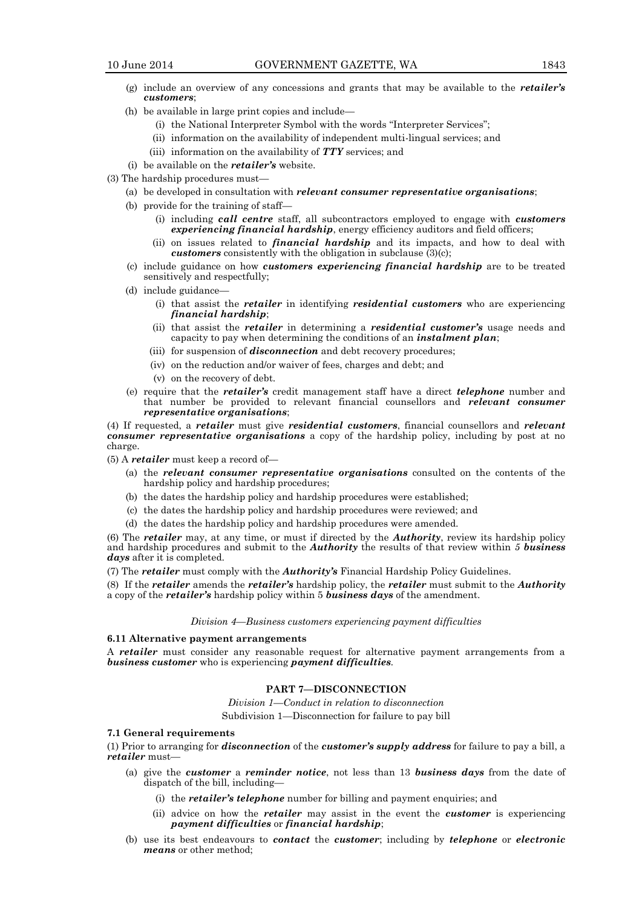- (g) include an overview of any concessions and grants that may be available to the *retailer's customers*;
- (h) be available in large print copies and include—
	- (i) the National Interpreter Symbol with the words "Interpreter Services";
	- (ii) information on the availability of independent multi-lingual services; and
	- (iii) information on the availability of *TTY* services; and
- (i) be available on the *retailer's* website.
- (3) The hardship procedures must—
	- (a) be developed in consultation with *relevant consumer representative organisations*;
	- (b) provide for the training of staff—
		- (i) including *call centre* staff, all subcontractors employed to engage with *customers experiencing financial hardship*, energy efficiency auditors and field officers;
		- (ii) on issues related to *financial hardship* and its impacts, and how to deal with *customers* consistently with the obligation in subclause (3)(c);
	- (c) include guidance on how *customers experiencing financial hardship* are to be treated sensitively and respectfully;
	- (d) include guidance—
		- (i) that assist the *retailer* in identifying *residential customers* who are experiencing *financial hardship*;
		- (ii) that assist the *retailer* in determining a *residential customer's* usage needs and capacity to pay when determining the conditions of an *instalment plan*;
		- (iii) for suspension of *disconnection* and debt recovery procedures;
		- (iv) on the reduction and/or waiver of fees, charges and debt; and
		- (v) on the recovery of debt.
	- (e) require that the *retailer's* credit management staff have a direct *telephone* number and that number be provided to relevant financial counsellors and *relevant consumer representative organisations*;

(4) If requested, a *retailer* must give *residential customers*, financial counsellors and *relevant consumer representative organisations* a copy of the hardship policy, including by post at no charge.

(5) A *retailer* must keep a record of—

- (a) the *relevant consumer representative organisations* consulted on the contents of the hardship policy and hardship procedures;
- (b) the dates the hardship policy and hardship procedures were established;
- (c) the dates the hardship policy and hardship procedures were reviewed; and
- (d) the dates the hardship policy and hardship procedures were amended.

(6) The *retailer* may, at any time, or must if directed by the *Authority*, review its hardship policy and hardship procedures and submit to the *Authority* the results of that review within *5 business days* after it is completed.

(7) The *retailer* must comply with the *Authority's* Financial Hardship Policy Guidelines.

(8) If the *retailer* amends the *retailer's* hardship policy, the *retailer* must submit to the *Authority* a copy of the *retailer's* hardship policy within 5 *business days* of the amendment.

*Division 4—Business customers experiencing payment difficulties*

#### **6.11 Alternative payment arrangements**

A *retailer* must consider any reasonable request for alternative payment arrangements from a *business customer* who is experiencing *payment difficulties.*

# **PART 7—DISCONNECTION**

*Division 1—Conduct in relation to disconnection* 

Subdivision 1—Disconnection for failure to pay bill

#### **7.1 General requirements**

(1) Prior to arranging for *disconnection* of the *customer's supply address* for failure to pay a bill, a *retailer* must—

- (a) give the *customer* a *reminder notice*, not less than 13 *business days* from the date of dispatch of the bill, including—
	- (i) the *retailer's telephone* number for billing and payment enquiries; and
	- (ii) advice on how the *retailer* may assist in the event the *customer* is experiencing *payment difficulties* or *financial hardship*;
- (b) use its best endeavours to *contact* the *customer*; including by *telephone* or *electronic means* or other method;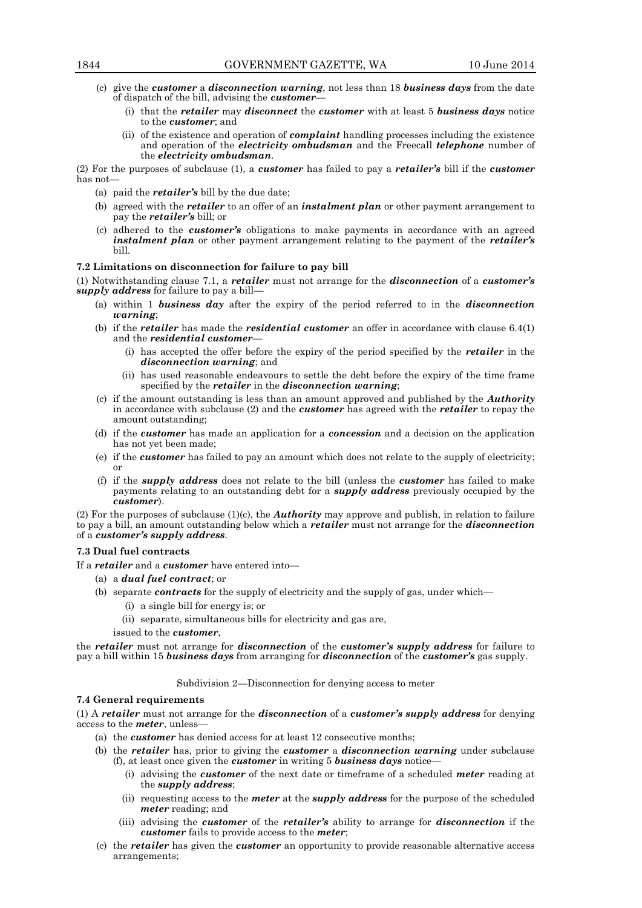- (c) give the *customer* a *disconnection warning*, not less than 18 *business days* from the date of dispatch of the bill, advising the *customer*—
	- (i) that the *retailer* may *disconnect* the *customer* with at least 5 *business days* notice to the *customer*; and
	- (ii) of the existence and operation of *complaint* handling processes including the existence and operation of the *electricity ombudsman* and the Freecall *telephone* number of the *electricity ombudsman*.

(2) For the purposes of subclause (1), a *customer* has failed to pay a *retailer's* bill if the *customer* has not—

- (a) paid the *retailer's* bill by the due date;
- (b) agreed with the *retailer* to an offer of an *instalment plan* or other payment arrangement to pay the *retailer's* bill; or
- (c) adhered to the *customer's* obligations to make payments in accordance with an agreed *instalment plan* or other payment arrangement relating to the payment of the *retailer's*  bill.

#### **7.2 Limitations on disconnection for failure to pay bill**

(1) Notwithstanding clause 7.1, a *retailer* must not arrange for the *disconnection* of a *customer's supply address* for failure to pay a bill—

- (a) within 1 *business day* after the expiry of the period referred to in the *disconnection warning*;
- (b) if the *retailer* has made the *residential customer* an offer in accordance with clause 6.4(1) and the *residential* customer
	- (i) has accepted the offer before the expiry of the period specified by the *retailer* in the *disconnection warning*; and
	- (ii) has used reasonable endeavours to settle the debt before the expiry of the time frame specified by the *retailer* in the *disconnection warning*;
- (c) if the amount outstanding is less than an amount approved and published by the *Authority* in accordance with subclause (2) and the *customer* has agreed with the *retailer* to repay the amount outstanding;
- (d) if the *customer* has made an application for a *concession* and a decision on the application has not yet been made;
- (e) if the *customer* has failed to pay an amount which does not relate to the supply of electricity; or
- (f) if the *supply address* does not relate to the bill (unless the *customer* has failed to make payments relating to an outstanding debt for a *supply address* previously occupied by the *customer*).

(2) For the purposes of subclause (1)(c), the *Authority* may approve and publish, in relation to failure to pay a bill, an amount outstanding below which a *retailer* must not arrange for the *disconnection* of a *customer's supply address*.

# **7.3 Dual fuel contracts**

- If a *retailer* and a *customer* have entered into—
	- (a) a *dual fuel contract*; or
	- (b) separate *contracts* for the supply of electricity and the supply of gas, under which—
		- (i) a single bill for energy is; or
		- (ii) separate, simultaneous bills for electricity and gas are,
		- issued to the *customer*,

the *retailer* must not arrange for *disconnection* of the *customer's supply address* for failure to pay a bill within 15 *business days* from arranging for *disconnection* of the *customer's* gas supply.

#### Subdivision 2—Disconnection for denying access to meter

#### **7.4 General requirements**

(1) A *retailer* must not arrange for the *disconnection* of a *customer's supply address* for denying access to the *meter*, unless—

- (a) the *customer* has denied access for at least 12 consecutive months;
- (b) the *retailer* has, prior to giving the *customer* a *disconnection warning* under subclause (f), at least once given the *customer* in writing 5 *business days* notice—
	- (i) advising the *customer* of the next date or timeframe of a scheduled *meter* reading at the *supply address*;
	- (ii) requesting access to the *meter* at the *supply address* for the purpose of the scheduled *meter* reading; and
	- (iii) advising the *customer* of the *retailer's* ability to arrange for *disconnection* if the *customer* fails to provide access to the *meter*;
- (c) the *retailer* has given the *customer* an opportunity to provide reasonable alternative access arrangements;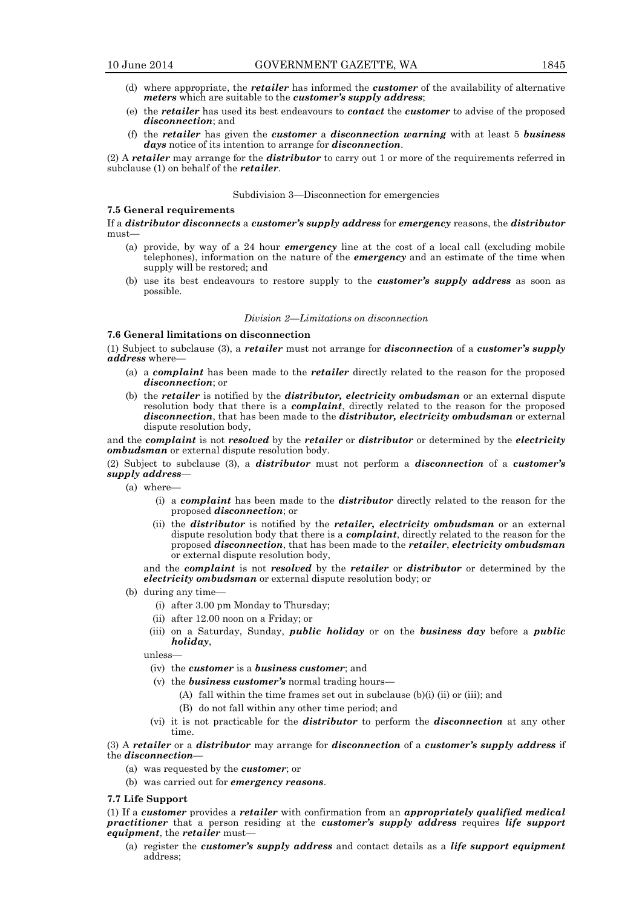- (d) where appropriate, the *retailer* has informed the *customer* of the availability of alternative *meters* which are suitable to the *customer's supply address*;
- (e) the *retailer* has used its best endeavours to *contact* the *customer* to advise of the proposed *disconnection*; and
- (f) the *retailer* has given the *customer* a *disconnection warning* with at least 5 *business days* notice of its intention to arrange for *disconnection*.

(2) A *retailer* may arrange for the *distributor* to carry out 1 or more of the requirements referred in subclause (1) on behalf of the *retailer*.

#### Subdivision 3—Disconnection for emergencies

# **7.5 General requirements**

If a *distributor disconnects* a *customer's supply address* for *emergency* reasons, the *distributor* must—

- (a) provide, by way of a 24 hour *emergency* line at the cost of a local call (excluding mobile telephones), information on the nature of the *emergency* and an estimate of the time when supply will be restored; and
- (b) use its best endeavours to restore supply to the *customer's supply address* as soon as possible.

#### *Division 2—Limitations on disconnection*

# **7.6 General limitations on disconnection**

(1) Subject to subclause (3), a *retailer* must not arrange for *disconnection* of a *customer's supply address* where—

- (a) a *complaint* has been made to the *retailer* directly related to the reason for the proposed *disconnection*; or
- (b) the *retailer* is notified by the *distributor, electricity ombudsman* or an external dispute resolution body that there is a *complaint*, directly related to the reason for the proposed *disconnection*, that has been made to the *distributor, electricity ombudsman* or external dispute resolution body,

and the *complaint* is not *resolved* by the *retailer* or *distributor* or determined by the *electricity ombudsman* or external dispute resolution body.

(2) Subject to subclause (3), a *distributor* must not perform a *disconnection* of a *customer's supply address*—

- (a) where—
	- (i) a *complaint* has been made to the *distributor* directly related to the reason for the proposed *disconnection*; or
	- (ii) the *distributor* is notified by the *retailer, electricity ombudsman* or an external dispute resolution body that there is a *complaint*, directly related to the reason for the proposed *disconnection*, that has been made to the *retailer*, *electricity ombudsman* or external dispute resolution body,

and the *complaint* is not *resolved* by the *retailer* or *distributor* or determined by the *electricity ombudsman* or external dispute resolution body; or

- (b) during any time—
	- (i) after 3.00 pm Monday to Thursday;
	- (ii) after 12.00 noon on a Friday; or
	- (iii) on a Saturday, Sunday, *public holiday* or on the *business day* before a *public holiday*,

unless—

- (iv) the *customer* is a *business customer*; and
- (v) the *business customer's* normal trading hours—
	- (A) fall within the time frames set out in subclause (b)(i) (ii) or (iii); and
	- (B) do not fall within any other time period; and
- (vi) it is not practicable for the *distributor* to perform the *disconnection* at any other time

(3) A *retailer* or a *distributor* may arrange for *disconnection* of a *customer's supply address* if the *disconnection*—

- (a) was requested by the *customer*; or
- (b) was carried out for *emergency reasons*.

#### **7.7 Life Support**

(1) If a *customer* provides a *retailer* with confirmation from an *appropriately qualified medical practitioner* that a person residing at the *customer's supply address* requires *life support equipment*, the *retailer* must—

(a) register the *customer's supply address* and contact details as a *life support equipment* address;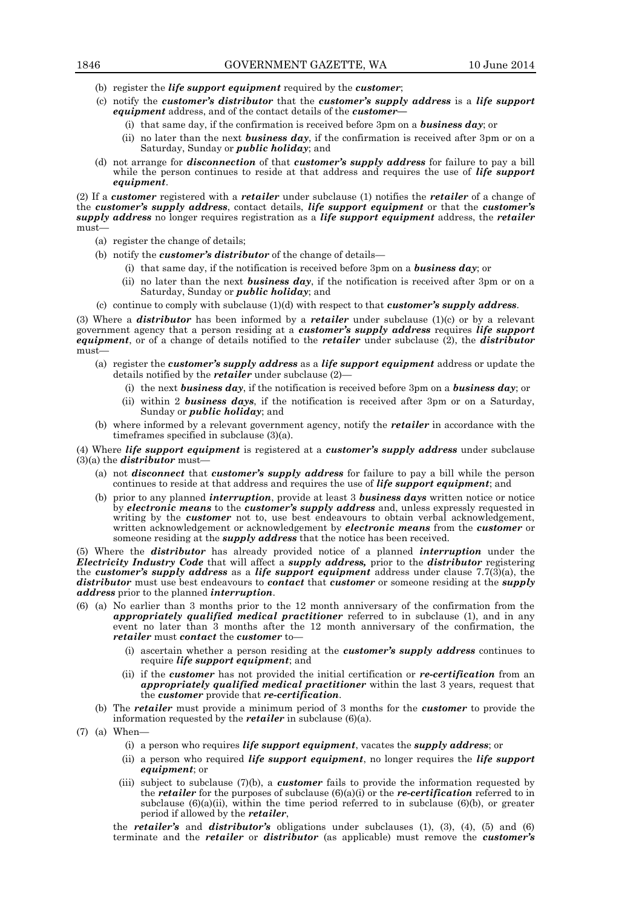- (b) register the *life support equipment* required by the *customer*;
- (c) notify the *customer's distributor* that the *customer's supply address* is a *life support equipment* address, and of the contact details of the *customer—*
	- (i) that same day, if the confirmation is received before 3pm on a *business day*; or
	- (ii) no later than the next *business day*, if the confirmation is received after 3pm or on a Saturday, Sunday or *public holiday*; and
- (d) not arrange for *disconnection* of that *customer's supply address* for failure to pay a bill while the person continues to reside at that address and requires the use of *life support equipment*.

(2) If a *customer* registered with a *retailer* under subclause (1) notifies the *retailer* of a change of the *customer's supply address*, contact details, *life support equipment* or that the *customer's supply address* no longer requires registration as a *life support equipment* address, the *retailer* must—

- (a) register the change of details;
- (b) notify the *customer's distributor* of the change of details—
	- (i) that same day, if the notification is received before 3pm on a *business day*; or
	- (ii) no later than the next *business day*, if the notification is received after 3pm or on a Saturday, Sunday or *public holiday*; and
- (c) continue to comply with subclause (1)(d) with respect to that *customer's supply address*.

(3) Where a *distributor* has been informed by a *retailer* under subclause (1)(c) or by a relevant government agency that a person residing at a *customer's supply address* requires *life support equipment*, or of a change of details notified to the *retailer* under subclause (2), the *distributor*  must—

- (a) register the *customer's supply address* as a *life support equipment* address or update the details notified by the *retailer* under subclause (2)—
	- (i) the next *business day*, if the notification is received before 3pm on a *business day*; or
	- (ii) within 2 *business days*, if the notification is received after 3pm or on a Saturday, Sunday or *public holiday*; and
- (b) where informed by a relevant government agency, notify the *retailer* in accordance with the timeframes specified in subclause (3)(a).

(4) Where *life support equipment* is registered at a *customer's supply address* under subclause  $(3)(a)$  the *distributor* must-

- (a) not *disconnect* that *customer's supply address* for failure to pay a bill while the person continues to reside at that address and requires the use of *life support equipment*; and
- (b) prior to any planned *interruption*, provide at least 3 *business days* written notice or notice by *electronic means* to the *customer's supply address* and, unless expressly requested in writing by the *customer* not to, use best endeavours to obtain verbal acknowledgement, written acknowledgement or acknowledgement by *electronic means* from the *customer* or someone residing at the *supply address* that the notice has been received.

(5) Where the *distributor* has already provided notice of a planned *interruption* under the *Electricity Industry Code* that will affect a *supply address,* prior to the *distributor* registering the *customer's supply address* as a *life support equipment* address under clause 7.7(3)(a), the *distributor* must use best endeavours to *contact* that *customer* or someone residing at the *supply address* prior to the planned *interruption*.

- (6) (a) No earlier than 3 months prior to the 12 month anniversary of the confirmation from the *appropriately qualified medical practitioner* referred to in subclause (1), and in any event no later than 3 months after the 12 month anniversary of the confirmation, the *retailer* must *contact* the *customer* to—
	- (i) ascertain whether a person residing at the *customer's supply address* continues to require *life support equipment*; and
	- (ii) if the *customer* has not provided the initial certification or *re-certification* from an *appropriately qualified medical practitioner* within the last 3 years, request that the *customer* provide that *re-certification*.
	- (b) The *retailer* must provide a minimum period of 3 months for the *customer* to provide the information requested by the *retailer* in subclause (6)(a).
- (7) (a) When—
	- (i) a person who requires *life support equipment*, vacates the *supply address*; or
	- (ii) a person who required *life support equipment*, no longer requires the *life support equipment*; or
	- (iii) subject to subclause (7)(b), a *customer* fails to provide the information requested by the *retailer* for the purposes of subclause (6)(a)(i) or the *re-certification* referred to in subclause  $(6)(a)(ii)$ , within the time period referred to in subclause  $(6)(b)$ , or greater period if allowed by the *retailer*,

the *retailer's* and *distributor's* obligations under subclauses (1), (3), (4), (5) and (6) terminate and the *retailer* or *distributor* (as applicable) must remove the *customer's*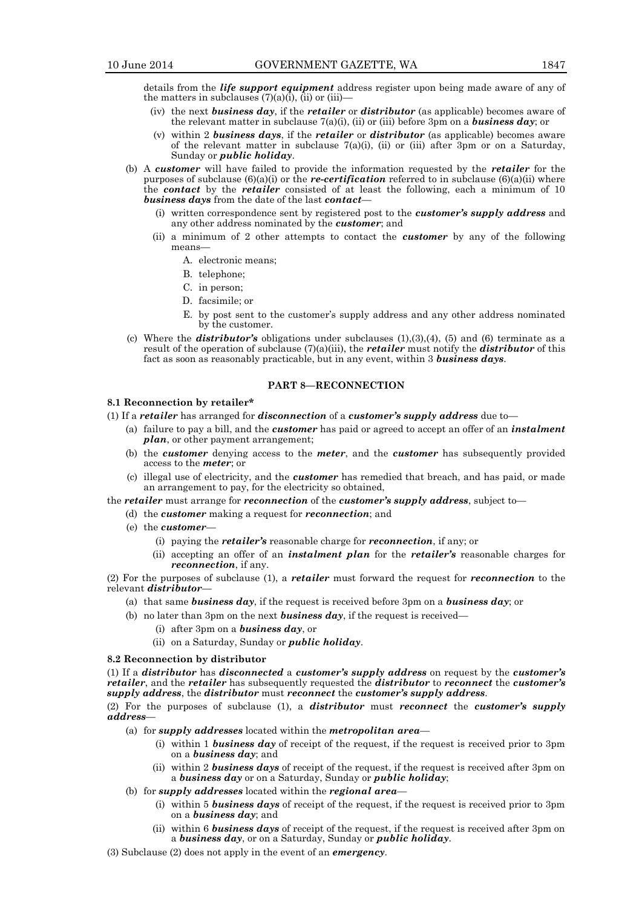details from the *life support equipment* address register upon being made aware of any of the matters in subclauses  $(7)(a)(i)$ , (ii) or (iii)-

- (iv) the next *business day*, if the *retailer* or *distributor* (as applicable) becomes aware of the relevant matter in subclause 7(a)(i), (ii) or (iii) before 3pm on a *business day*; or
- (v) within 2 *business days*, if the *retailer* or *distributor* (as applicable) becomes aware of the relevant matter in subclause  $7(a)(i)$ , (ii) or (iii) after 3pm or on a Saturday, Sunday or *public holiday*.
- (b) A *customer* will have failed to provide the information requested by the *retailer* for the purposes of subclause (6)(a)(i) or the *re-certification* referred to in subclause (6)(a)(ii) where the *contact* by the *retailer* consisted of at least the following, each a minimum of 10 *business days* from the date of the last *contact*—
	- (i) written correspondence sent by registered post to the *customer's supply address* and any other address nominated by the *customer*; and
	- (ii) a minimum of 2 other attempts to contact the *customer* by any of the following means—
		- A. electronic means;
		- B. telephone;
		- C. in person;
		- D. facsimile; or
		- E. by post sent to the customer's supply address and any other address nominated by the customer.
- (c) Where the *distributor*'s obligations under subclauses  $(1)(3)(4)$ ,  $(5)$  and  $(6)$  terminate as a result of the operation of subclause (7)(a)(iii), the *retailer* must notify the *distributor* of this fact as soon as reasonably practicable, but in any event, within 3 *business days*.

# **PART 8—RECONNECTION**

#### **8.1 Reconnection by retailer\***

- (1) If a *retailer* has arranged for *disconnection* of a *customer's supply address* due to—
	- (a) failure to pay a bill, and the *customer* has paid or agreed to accept an offer of an *instalment plan*, or other payment arrangement;
	- (b) the *customer* denying access to the *meter*, and the *customer* has subsequently provided access to the *meter*; or
	- (c) illegal use of electricity, and the *customer* has remedied that breach, and has paid, or made an arrangement to pay, for the electricity so obtained,

the *retailer* must arrange for *reconnection* of the *customer's supply address*, subject to—

- (d) the *customer* making a request for *reconnection*; and
- (e) the *customer*
	- (i) paying the *retailer's* reasonable charge for *reconnection*, if any; or
	- (ii) accepting an offer of an *instalment plan* for the *retailer's* reasonable charges for *reconnection*, if any.

(2) For the purposes of subclause (1), a *retailer* must forward the request for *reconnection* to the relevant *distributor*—

- (a) that same *business day*, if the request is received before 3pm on a *business day*; or
- (b) no later than 3pm on the next *business day*, if the request is received—
	- (i) after 3pm on a *business day*, or
	- (ii) on a Saturday, Sunday or *public holiday*.

#### **8.2 Reconnection by distributor**

(1) If a *distributor* has *disconnected* a *customer's supply address* on request by the *customer's retailer*, and the *retailer* has subsequently requested the *distributor* to *reconnect* the *customer's supply address*, the *distributor* must *reconnect* the *customer's supply address*.

(2) For the purposes of subclause (1), a *distributor* must *reconnect* the *customer's supply address*—

- (a) for *supply addresses* located within the *metropolitan area*
	- (i) within 1 *business day* of receipt of the request, if the request is received prior to 3pm on a *business day*; and
	- (ii) within 2 *business days* of receipt of the request, if the request is received after 3pm on a *business day* or on a Saturday, Sunday or *public holiday*;
- (b) for *supply addresses* located within the *regional area*
	- (i) within 5 *business days* of receipt of the request, if the request is received prior to 3pm on a *business day*; and
	- (ii) within 6 *business days* of receipt of the request, if the request is received after 3pm on a *business day*, or on a Saturday, Sunday or *public holiday*.

(3) Subclause (2) does not apply in the event of an *emergency*.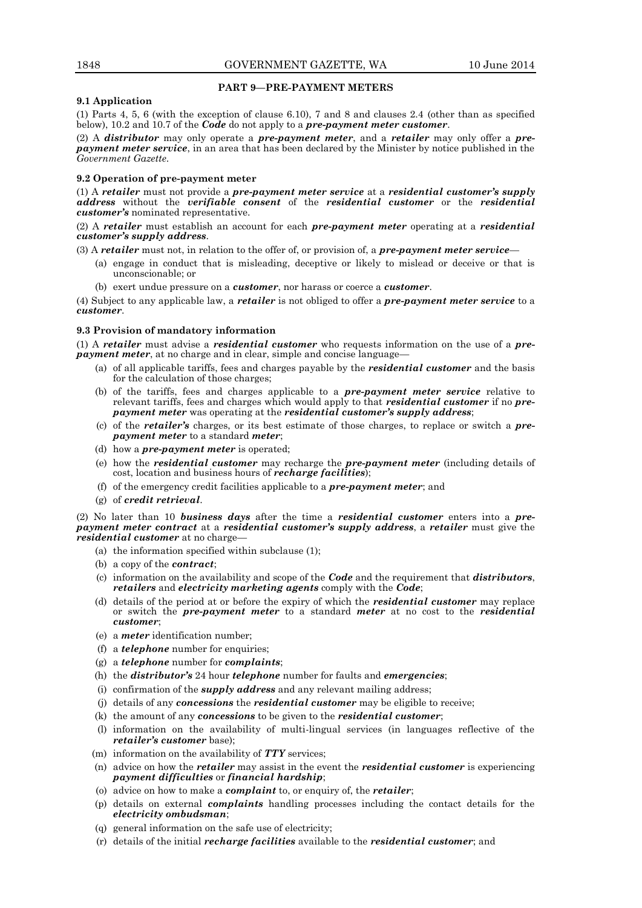# **PART 9—PRE-PAYMENT METERS**

# **9.1 Application**

(1) Parts 4, 5, 6 (with the exception of clause 6.10), 7 and 8 and clauses 2.4 (other than as specified below), 10.2 and 10.7 of the *Code* do not apply to a *pre-payment meter customer*.

(2) A *distributor* may only operate a *pre-payment meter*, and a *retailer* may only offer a *prepayment meter service*, in an area that has been declared by the Minister by notice published in the *Government Gazette*.

# **9.2 Operation of pre-payment meter**

(1) A *retailer* must not provide a *pre-payment meter service* at a *residential customer's supply address* without the *verifiable consent* of the *residential customer* or the *residential customer's* nominated representative.

(2) A *retailer* must establish an account for each *pre-payment meter* operating at a *residential customer's supply address*.

(3) A *retailer* must not, in relation to the offer of, or provision of, a *pre-payment meter service*—

- (a) engage in conduct that is misleading, deceptive or likely to mislead or deceive or that is unconscionable; or
- (b) exert undue pressure on a *customer*, nor harass or coerce a *customer*.

(4) Subject to any applicable law, a *retailer* is not obliged to offer a *pre-payment meter service* to a *customer*.

# **9.3 Provision of mandatory information**

(1) A *retailer* must advise a *residential customer* who requests information on the use of a *prepayment meter*, at no charge and in clear, simple and concise language-

- (a) of all applicable tariffs, fees and charges payable by the *residential customer* and the basis for the calculation of those charges;
- (b) of the tariffs, fees and charges applicable to a *pre-payment meter service* relative to relevant tariffs, fees and charges which would apply to that *residential customer* if no *prepayment meter* was operating at the *residential customer's supply address*;
- (c) of the *retailer's* charges, or its best estimate of those charges, to replace or switch a *prepayment meter* to a standard *meter*;
- (d) how a *pre-payment meter* is operated;
- (e) how the *residential customer* may recharge the *pre-payment meter* (including details of cost, location and business hours of *recharge facilities*);
- (f) of the emergency credit facilities applicable to a *pre-payment meter*; and
- (g) of *credit retrieval*.

(2) No later than 10 *business days* after the time a *residential customer* enters into a *prepayment meter contract* at a *residential customer's supply address*, a *retailer* must give the *residential customer* at no charge—

- (a) the information specified within subclause (1);
- (b) a copy of the *contract*;
- (c) information on the availability and scope of the *Code* and the requirement that *distributors*, *retailers* and *electricity marketing agents* comply with the *Code*;
- (d) details of the period at or before the expiry of which the *residential customer* may replace or switch the *pre-payment meter* to a standard *meter* at no cost to the *residential customer*;
- (e) a *meter* identification number;
- (f) a *telephone* number for enquiries;
- (g) a *telephone* number for *complaints*;
- (h) the *distributor's* 24 hour *telephone* number for faults and *emergencies*;
- (i) confirmation of the *supply address* and any relevant mailing address;
- (j) details of any *concessions* the *residential customer* may be eligible to receive;
- (k) the amount of any *concessions* to be given to the *residential customer*;
- (l) information on the availability of multi-lingual services (in languages reflective of the *retailer's customer* base);
- (m) information on the availability of *TTY* services;
- (n) advice on how the *retailer* may assist in the event the *residential customer* is experiencing *payment difficulties* or *financial hardship*;
- (o) advice on how to make a *complaint* to, or enquiry of, the *retailer*;
- (p) details on external *complaints* handling processes including the contact details for the *electricity ombudsman*;
- (q) general information on the safe use of electricity;
- (r) details of the initial *recharge facilities* available to the *residential customer*; and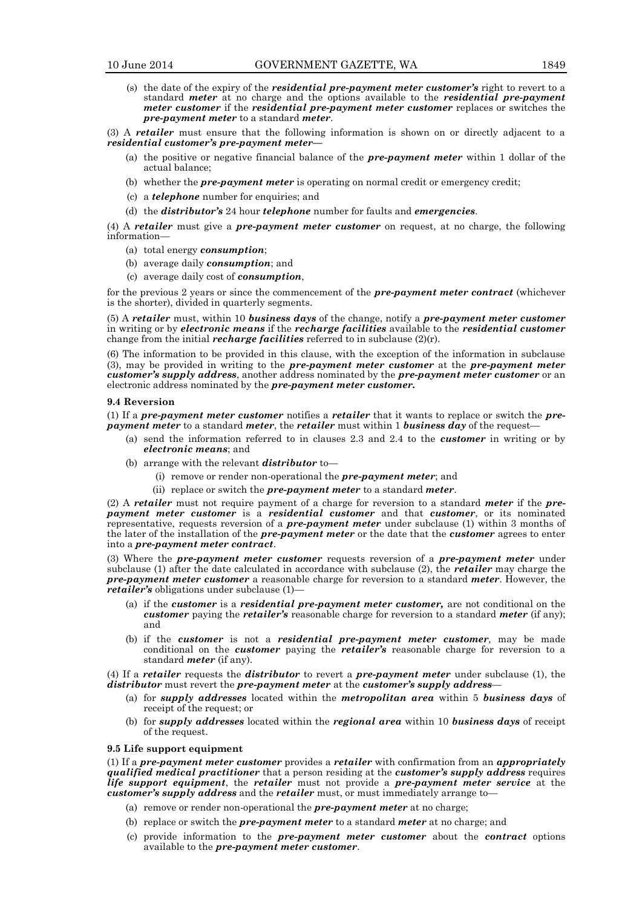(s) the date of the expiry of the *residential pre-payment meter customer's* right to revert to a standard *meter* at no charge and the options available to the *residential pre-payment meter customer* if the *residential pre-payment meter customer* replaces or switches the *pre-payment meter* to a standard *meter*.

(3) A *retailer* must ensure that the following information is shown on or directly adjacent to a *residential customer's pre-payment meter—*

- (a) the positive or negative financial balance of the *pre-payment meter* within 1 dollar of the actual balance;
- (b) whether the *pre-payment meter* is operating on normal credit or emergency credit;
- (c) a *telephone* number for enquiries; and
- (d) the *distributor's* 24 hour *telephone* number for faults and *emergencies*.

(4) A *retailer* must give a *pre-payment meter customer* on request, at no charge, the following information—

- (a) total energy *consumption*;
- (b) average daily *consumption*; and
- (c) average daily cost of *consumption*,

for the previous 2 years or since the commencement of the *pre-payment meter contract* (whichever is the shorter), divided in quarterly segments.

(5) A *retailer* must, within 10 *business days* of the change, notify a *pre-payment meter customer* in writing or by *electronic means* if the *recharge facilities* available to the *residential customer*  change from the initial *recharge facilities* referred to in subclause  $(2)(r)$ .

(6) The information to be provided in this clause, with the exception of the information in subclause (3), may be provided in writing to the *pre-payment meter customer* at the *pre-payment meter customer's supply address*, another address nominated by the *pre-payment meter customer* or an electronic address nominated by the *pre-payment meter customer.*

#### **9.4 Reversion**

(1) If a *pre-payment meter customer* notifies a *retailer* that it wants to replace or switch the *prepayment meter* to a standard *meter*, the *retailer* must within 1 *business day* of the request—

- (a) send the information referred to in clauses 2.3 and 2.4 to the *customer* in writing or by *electronic means*; and
- (b) arrange with the relevant *distributor* to—
	- (i) remove or render non-operational the *pre-payment meter*; and
	- (ii) replace or switch the *pre-payment meter* to a standard *meter*.

(2) A *retailer* must not require payment of a charge for reversion to a standard *meter* if the *prepayment meter customer* is a *residential customer* and that *customer*, or its nominated representative, requests reversion of a *pre-payment meter* under subclause (1) within 3 months of the later of the installation of the *pre-payment meter* or the date that the *customer* agrees to enter into a *pre-payment meter contract*.

(3) Where the *pre-payment meter customer* requests reversion of a *pre-payment meter* under subclause (1) after the date calculated in accordance with subclause (2), the *retailer* may charge the *pre-payment meter customer* a reasonable charge for reversion to a standard *meter*. However, the *retailer's* obligations under subclause (1)—

- (a) if the *customer* is a *residential pre-payment meter customer,* are not conditional on the *customer* paying the *retailer's* reasonable charge for reversion to a standard *meter* (if any); and
- (b) if the *customer* is not a *residential pre-payment meter customer,* may be made conditional on the *customer* paying the *retailer's* reasonable charge for reversion to a standard *meter* (if any).

(4) If a *retailer* requests the *distributor* to revert a *pre-payment meter* under subclause (1), the *distributor* must revert the *pre-payment meter* at the *customer's supply address*—

- (a) for *supply addresses* located within the *metropolitan area* within 5 *business days* of receipt of the request; or
- (b) for *supply addresses* located within the *regional area* within 10 *business days* of receipt of the request.

#### **9.5 Life support equipment**

(1) If a *pre-payment meter customer* provides a *retailer* with confirmation from an *appropriately qualified medical practitioner* that a person residing at the *customer's supply address* requires *life support equipment*, the *retailer* must not provide a *pre-payment meter service* at the *customer's supply address* and the *retailer* must, or must immediately arrange to—

- (a) remove or render non-operational the *pre-payment meter* at no charge;
- (b) replace or switch the *pre-payment meter* to a standard *meter* at no charge; and
- (c) provide information to the *pre-payment meter customer* about the *contract* options available to the *pre-payment meter customer*.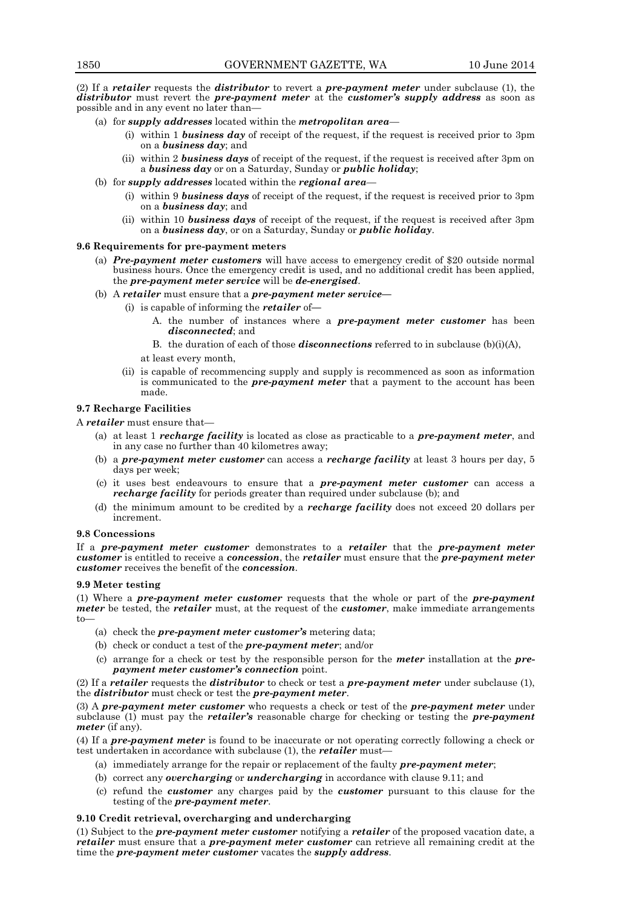(2) If a *retailer* requests the *distributor* to revert a *pre-payment meter* under subclause (1), the *distributor* must revert the *pre-payment meter* at the *customer's supply address* as soon as possible and in any event no later than—

- (a) for *supply addresses* located within the *metropolitan area*
	- (i) within 1 *business day* of receipt of the request, if the request is received prior to 3pm on a *business day*; and
	- (ii) within 2 *business days* of receipt of the request, if the request is received after 3pm on a *business day* or on a Saturday, Sunday or *public holiday*;
- (b) for *supply addresses* located within the *regional area*
	- (i) within 9 *business days* of receipt of the request, if the request is received prior to 3pm on a *business day*; and
	- (ii) within 10 *business days* of receipt of the request, if the request is received after 3pm on a *business day*, or on a Saturday, Sunday or *public holiday*.

# **9.6 Requirements for pre-payment meters**

- (a) *Pre-payment meter customers* will have access to emergency credit of \$20 outside normal business hours. Once the emergency credit is used, and no additional credit has been applied, the *pre-payment meter service* will be *de-energised*.
- (b) A *retailer* must ensure that a *pre-payment meter service—*
	- (i) is capable of informing the *retailer* of**—**
		- A. the number of instances where a *pre-payment meter customer* has been *disconnected*; and
		- B. the duration of each of those *disconnections* referred to in subclause (b)(i)(A),
		- at least every month,
		- (ii) is capable of recommencing supply and supply is recommenced as soon as information is communicated to the *pre-payment meter* that a payment to the account has been made.

# **9.7 Recharge Facilities**

A *retailer* must ensure that—

- (a) at least 1 *recharge facility* is located as close as practicable to a *pre-payment meter*, and in any case no further than 40 kilometres away;
- (b) a *pre-payment meter customer* can access a *recharge facility* at least 3 hours per day, 5 days per week;
- (c) it uses best endeavours to ensure that a *pre-payment meter customer* can access a *recharge facility* for periods greater than required under subclause (b); and
- (d) the minimum amount to be credited by a *recharge facility* does not exceed 20 dollars per increment.

## **9.8 Concessions**

If a *pre-payment meter customer* demonstrates to a *retailer* that the *pre-payment meter customer* is entitled to receive a *concession*, the *retailer* must ensure that the *pre-payment meter customer* receives the benefit of the *concession*.

#### **9.9 Meter testing**

(1) Where a *pre-payment meter customer* requests that the whole or part of the *pre-payment meter* be tested, the *retailer* must, at the request of the *customer*, make immediate arrangements to—

- (a) check the *pre-payment meter customer's* metering data;
- (b) check or conduct a test of the *pre-payment meter*; and/or
- (c) arrange for a check or test by the responsible person for the *meter* installation at the *prepayment meter customer's connection* point.

(2) If a *retailer* requests the *distributor* to check or test a *pre-payment meter* under subclause (1), the *distributor* must check or test the *pre-payment meter*.

(3) A *pre-payment meter customer* who requests a check or test of the *pre-payment meter* under subclause (1) must pay the *retailer's* reasonable charge for checking or testing the *pre-payment meter* (if any).

(4) If a *pre-payment meter* is found to be inaccurate or not operating correctly following a check or test undertaken in accordance with subclause (1), the *retailer* must—

- (a) immediately arrange for the repair or replacement of the faulty *pre-payment meter*;
- (b) correct any *overcharging* or *undercharging* in accordance with clause 9.11; and
- (c) refund the *customer* any charges paid by the *customer* pursuant to this clause for the testing of the *pre-payment meter*.

# **9.10 Credit retrieval, overcharging and undercharging**

(1) Subject to the *pre-payment meter customer* notifying a *retailer* of the proposed vacation date, a *retailer* must ensure that a *pre-payment meter customer* can retrieve all remaining credit at the time the *pre-payment meter customer* vacates the *supply address*.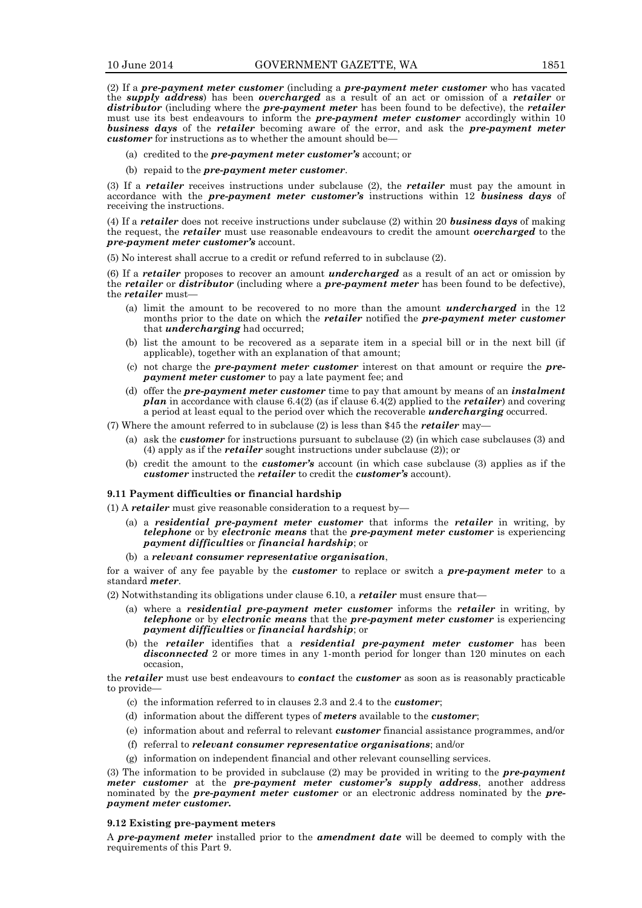(2) If a *pre-payment meter customer* (including a *pre-payment meter customer* who has vacated the *supply address*) has been *overcharged* as a result of an act or omission of a *retailer* or *distributor* (including where the *pre-payment meter* has been found to be defective), the *retailer* must use its best endeavours to inform the *pre-payment meter customer* accordingly within 10 *business days* of the *retailer* becoming aware of the error, and ask the *pre-payment meter customer* for instructions as to whether the amount should be—

- (a) credited to the *pre-payment meter customer's* account; or
- (b) repaid to the *pre-payment meter customer*.

(3) If a *retailer* receives instructions under subclause (2), the *retailer* must pay the amount in accordance with the *pre-payment meter customer's* instructions within 12 *business days* of receiving the instructions.

(4) If a *retailer* does not receive instructions under subclause (2) within 20 *business days* of making the request, the *retailer* must use reasonable endeavours to credit the amount *overcharged* to the *pre-payment meter customer's* account.

(5) No interest shall accrue to a credit or refund referred to in subclause (2).

(6) If a *retailer* proposes to recover an amount *undercharged* as a result of an act or omission by the *retailer* or *distributor* (including where a *pre-payment meter* has been found to be defective), the *retailer* must—

- (a) limit the amount to be recovered to no more than the amount *undercharged* in the 12 months prior to the date on which the *retailer* notified the *pre-payment meter customer* that *undercharging* had occurred;
- (b) list the amount to be recovered as a separate item in a special bill or in the next bill (if applicable), together with an explanation of that amount;
- (c) not charge the *pre-payment meter customer* interest on that amount or require the *prepayment meter customer* to pay a late payment fee; and
- (d) offer the *pre-payment meter customer* time to pay that amount by means of an *instalment plan* in accordance with clause 6.4(2) (as if clause 6.4(2) applied to the *retailer*) and covering a period at least equal to the period over which the recoverable *undercharging* occurred.
- (7) Where the amount referred to in subclause (2) is less than \$45 the *retailer* may—
	- (a) ask the *customer* for instructions pursuant to subclause (2) (in which case subclauses (3) and (4) apply as if the *retailer* sought instructions under subclause (2)); or
	- (b) credit the amount to the *customer's* account (in which case subclause (3) applies as if the *customer* instructed the *retailer* to credit the *customer's* account).

# **9.11 Payment difficulties or financial hardship**

- (1) A *retailer* must give reasonable consideration to a request by—
	- (a) a *residential pre-payment meter customer* that informs the *retailer* in writing, by *telephone* or by *electronic means* that the *pre-payment meter customer* is experiencing *payment difficulties* or *financial hardship*; or
	- (b) a *relevant consumer representative organisation*,

for a waiver of any fee payable by the *customer* to replace or switch a *pre-payment meter* to a standard *meter*.

(2) Notwithstanding its obligations under clause 6.10, a *retailer* must ensure that—

- (a) where a *residential pre-payment meter customer* informs the *retailer* in writing, by *telephone* or by *electronic means* that the *pre-payment meter customer* is experiencing *payment difficulties* or *financial hardship*; or
- (b) the *retailer* identifies that a *residential pre-payment meter customer* has been *disconnected* 2 or more times in any 1-month period for longer than 120 minutes on each occasion,

the *retailer* must use best endeavours to *contact* the *customer* as soon as is reasonably practicable to provide—

- (c) the information referred to in clauses 2.3 and 2.4 to the *customer*;
- (d) information about the different types of *meters* available to the *customer*;
- (e) information about and referral to relevant *customer* financial assistance programmes, and/or
- (f) referral to *relevant consumer representative organisations*; and/or
- (g) information on independent financial and other relevant counselling services.

(3) The information to be provided in subclause (2) may be provided in writing to the *pre-payment meter customer* at the *pre-payment meter customer's supply address*, another address nominated by the *pre-payment meter customer* or an electronic address nominated by the *prepayment meter customer.*

#### **9.12 Existing pre-payment meters**

A *pre-payment meter* installed prior to the *amendment date* will be deemed to comply with the requirements of this Part 9.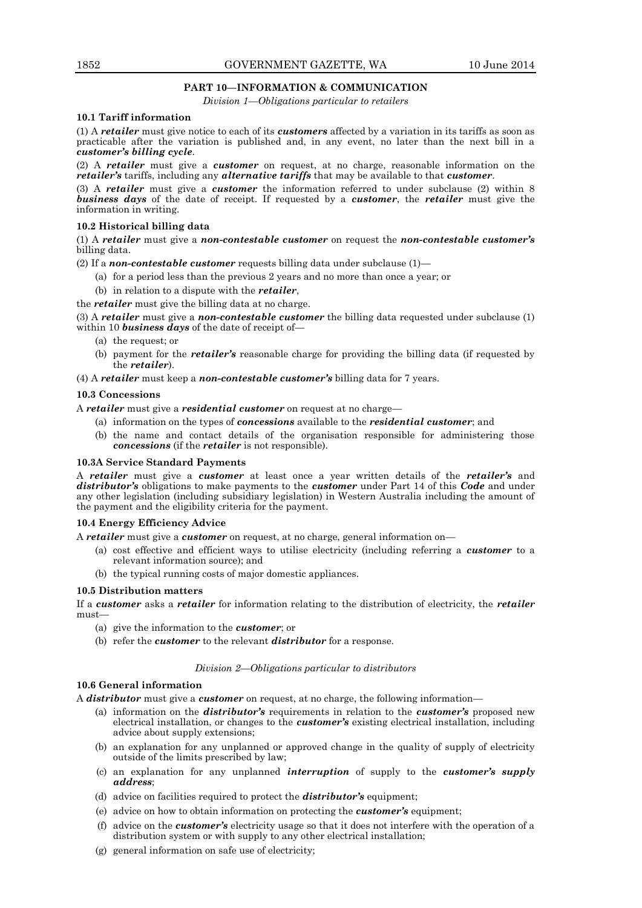# **PART 10—INFORMATION & COMMUNICATION**

*Division 1—Obligations particular to retailers*

# **10.1 Tariff information**

(1) A *retailer* must give notice to each of its *customers* affected by a variation in its tariffs as soon as practicable after the variation is published and, in any event, no later than the next bill in a *customer's billing cycle*.

(2) A *retailer* must give a *customer* on request, at no charge, reasonable information on the *retailer's* tariffs, including any *alternative tariffs* that may be available to that *customer*.

(3) A *retailer* must give a *customer* the information referred to under subclause (2) within 8 *business days* of the date of receipt. If requested by a *customer*, the *retailer* must give the information in writing.

# **10.2 Historical billing data**

(1) A *retailer* must give a *non-contestable customer* on request the *non-contestable customer's* billing data.

(2) If a *non-contestable customer* requests billing data under subclause (1)—

- (a) for a period less than the previous 2 years and no more than once a year; or
- (b) in relation to a dispute with the *retailer*,

the *retailer* must give the billing data at no charge.

(3) A *retailer* must give a *non-contestable customer* the billing data requested under subclause (1) within 10 *business days* of the date of receipt of—

- (a) the request; or
- (b) payment for the *retailer's* reasonable charge for providing the billing data (if requested by the *retailer*).
- (4) A *retailer* must keep a *non-contestable customer's* billing data for 7 years.

# **10.3 Concessions**

A *retailer* must give a *residential customer* on request at no charge—

- (a) information on the types of *concessions* available to the *residential customer*; and
- (b) the name and contact details of the organisation responsible for administering those *concessions* (if the *retailer* is not responsible).

# **10.3A Service Standard Payments**

A *retailer* must give a *customer* at least once a year written details of the *retailer's* and *distributor's* obligations to make payments to the *customer* under Part 14 of this *Code* and under any other legislation (including subsidiary legislation) in Western Australia including the amount of the payment and the eligibility criteria for the payment.

# **10.4 Energy Efficiency Advice**

A *retailer* must give a *customer* on request, at no charge, general information on—

- (a) cost effective and efficient ways to utilise electricity (including referring a *customer* to a relevant information source); and
- (b) the typical running costs of major domestic appliances.

# **10.5 Distribution matters**

If a *customer* asks a *retailer* for information relating to the distribution of electricity, the *retailer* must-

- (a) give the information to the *customer*; or
- (b) refer the *customer* to the relevant *distributor* for a response.

# *Division 2—Obligations particular to distributors*

# **10.6 General information**

A *distributor* must give a *customer* on request, at no charge, the following information—

- (a) information on the *distributor's* requirements in relation to the *customer's* proposed new electrical installation, or changes to the *customer's* existing electrical installation, including advice about supply extensions;
- (b) an explanation for any unplanned or approved change in the quality of supply of electricity outside of the limits prescribed by law;
- (c) an explanation for any unplanned *interruption* of supply to the *customer's supply address*;
- (d) advice on facilities required to protect the *distributor's* equipment;
- (e) advice on how to obtain information on protecting the *customer's* equipment;
- (f) advice on the *customer's* electricity usage so that it does not interfere with the operation of a distribution system or with supply to any other electrical installation;
- (g) general information on safe use of electricity;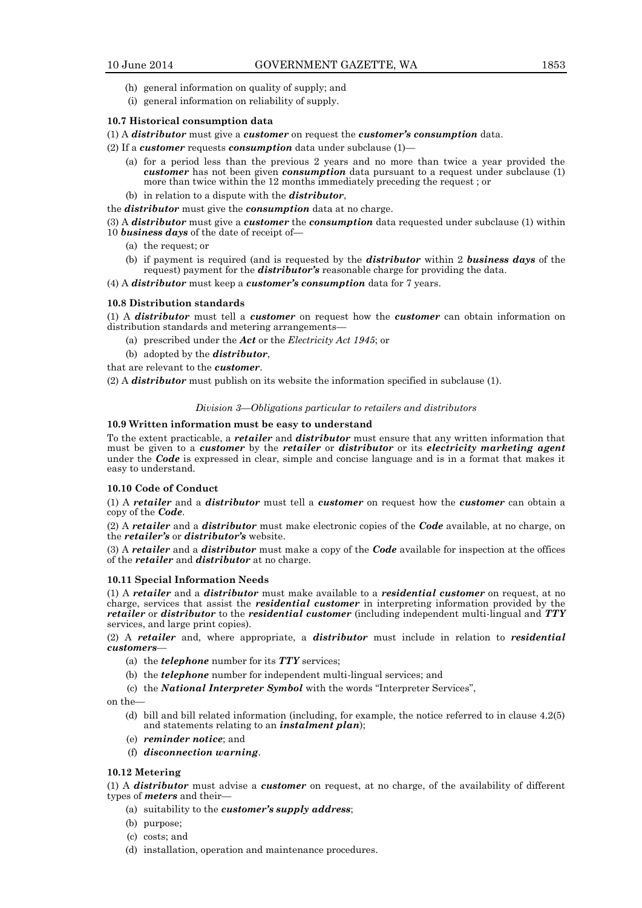- (h) general information on quality of supply; and
- (i) general information on reliability of supply.

## **10.7 Historical consumption data**

- (1) A *distributor* must give a *customer* on request the *customer's consumption* data.
- (2) If a *customer* requests *consumption* data under subclause (1)—
	- (a) for a period less than the previous 2 years and no more than twice a year provided the *customer* has not been given *consumption* data pursuant to a request under subclause (1) more than twice within the 12 months immediately preceding the request ; or
	- (b) in relation to a dispute with the *distributor*,

the *distributor* must give the *consumption* data at no charge.

(3) A *distributor* must give a *customer* the *consumption* data requested under subclause (1) within 10 *business days* of the date of receipt of—

- (a) the request; or
- (b) if payment is required (and is requested by the *distributor* within 2 *business days* of the request) payment for the *distributor's* reasonable charge for providing the data.
- (4) A *distributor* must keep a *customer's consumption* data for 7 years.

# **10.8 Distribution standards**

(1) A *distributor* must tell a *customer* on request how the *customer* can obtain information on distribution standards and metering arrangements—

- (a) prescribed under the *Act* or the *Electricity Act 1945*; or
- (b) adopted by the *distributor*,

that are relevant to the *customer*.

(2) A *distributor* must publish on its website the information specified in subclause (1).

#### *Division 3—Obligations particular to retailers and distributors*

#### **10.9 Written information must be easy to understand**

To the extent practicable, a *retailer* and *distributor* must ensure that any written information that must be given to a *customer* by the *retailer* or *distributor* or its *electricity marketing agent* under the *Code* is expressed in clear, simple and concise language and is in a format that makes it easy to understand.

#### **10.10 Code of Conduct**

(1) A *retailer* and a *distributor* must tell a *customer* on request how the *customer* can obtain a copy of the *Code*.

(2) A *retailer* and a *distributor* must make electronic copies of the *Code* available, at no charge, on the *retailer's* or *distributor's* website.

(3) A *retailer* and a *distributor* must make a copy of the *Code* available for inspection at the offices of the *retailer* and *distributor* at no charge.

#### **10.11 Special Information Needs**

(1) A *retailer* and a *distributor* must make available to a *residential customer* on request, at no charge, services that assist the *residential customer* in interpreting information provided by the *retailer* or *distributor* to the *residential customer* (including independent multi-lingual and *TTY* services, and large print copies).

(2) A *retailer* and, where appropriate, a *distributor* must include in relation to *residential customers*—

- (a) the *telephone* number for its *TTY* services;
- (b) the *telephone* number for independent multi-lingual services; and
- (c) the *National Interpreter Symbol* with the words "Interpreter Services",

on the—

- (d) bill and bill related information (including, for example, the notice referred to in clause 4.2(5) and statements relating to an *instalment plan*);
- (e) *reminder notice*; and
- (f) *disconnection warning*.

# **10.12 Metering**

(1) A *distributor* must advise a *customer* on request, at no charge, of the availability of different types of *meters* and their—

- (a) suitability to the *customer's supply address*;
- (b) purpose;
- (c) costs; and
- (d) installation, operation and maintenance procedures.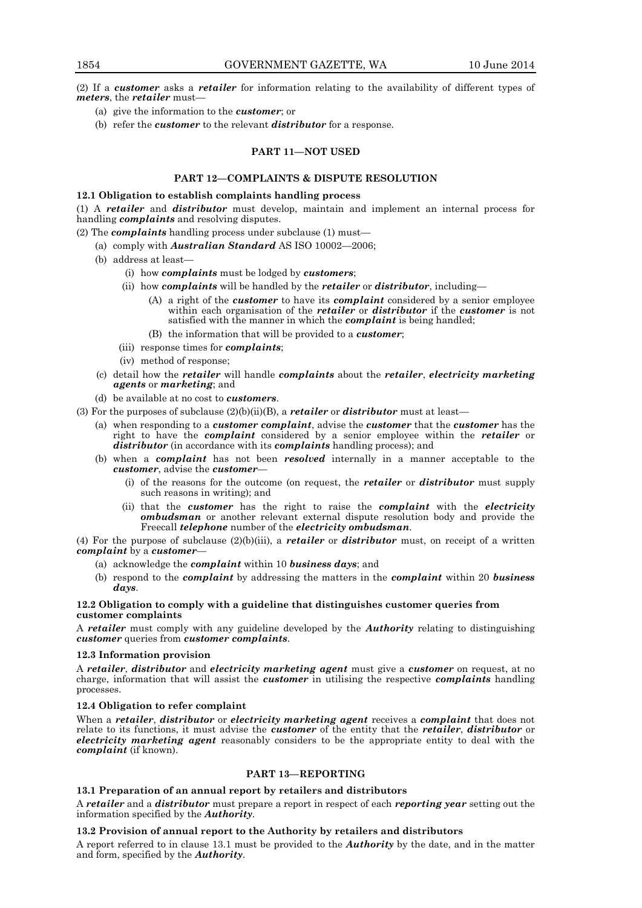(2) If a *customer* asks a *retailer* for information relating to the availability of different types of *meters*, the *retailer* must—

- (a) give the information to the *customer*; or
- (b) refer the *customer* to the relevant *distributor* for a response.

# **PART 11—NOT USED**

# **PART 12—COMPLAINTS & DISPUTE RESOLUTION**

#### **12.1 Obligation to establish complaints handling process**

(1) A *retailer* and *distributor* must develop, maintain and implement an internal process for handling *complaints* and resolving disputes.

(2) The *complaints* handling process under subclause (1) must—

- (a) comply with *Australian Standard* AS ISO 10002—2006;
- (b) address at least—
	- (i) how *complaints* must be lodged by *customers*;
	- (ii) how *complaints* will be handled by the *retailer* or *distributor*, including—
		- (A) a right of the *customer* to have its *complaint* considered by a senior employee within each organisation of the *retailer* or *distributor* if the *customer* is not satisfied with the manner in which the *complaint* is being handled;
		- (B) the information that will be provided to a *customer*;
	- (iii) response times for *complaints*;
	- (iv) method of response;
- (c) detail how the *retailer* will handle *complaints* about the *retailer*, *electricity marketing agents* or *marketing*; and
- (d) be available at no cost to *customers*.
- (3) For the purposes of subclause (2)(b)(ii)(B), a *retailer* or *distributor* must at least—
	- (a) when responding to a *customer complaint*, advise the *customer* that the *customer* has the right to have the *complaint* considered by a senior employee within the *retailer* or *distributor* (in accordance with its *complaints* handling process); and
	- (b) when a *complaint* has not been *resolved* internally in a manner acceptable to the *customer*, advise the *customer*—
		- (i) of the reasons for the outcome (on request, the *retailer* or *distributor* must supply such reasons in writing); and
		- (ii) that the *customer* has the right to raise the *complaint* with the *electricity ombudsman* or another relevant external dispute resolution body and provide the Freecall *telephone* number of the *electricity ombudsman*.

(4) For the purpose of subclause (2)(b)(iii), a *retailer* or *distributor* must, on receipt of a written *complaint* by a *customer*—

- (a) acknowledge the *complaint* within 10 *business days*; and
- (b) respond to the *complaint* by addressing the matters in the *complaint* within 20 *business days*.

#### **12.2 Obligation to comply with a guideline that distinguishes customer queries from customer complaints**

A *retailer* must comply with any guideline developed by the *Authority* relating to distinguishing *customer* queries from *customer complaints*.

#### **12.3 Information provision**

A *retailer*, *distributor* and *electricity marketing agent* must give a *customer* on request, at no charge, information that will assist the *customer* in utilising the respective *complaints* handling processes.

# **12.4 Obligation to refer complaint**

When a *retailer*, *distributor* or *electricity marketing agent* receives a *complaint* that does not relate to its functions, it must advise the *customer* of the entity that the *retailer*, *distributor* or *electricity marketing agent* reasonably considers to be the appropriate entity to deal with the *complaint* (if known).

## **PART 13—REPORTING**

# **13.1 Preparation of an annual report by retailers and distributors**

A *retailer* and a *distributor* must prepare a report in respect of each *reporting year* setting out the information specified by the *Authority*.

#### **13.2 Provision of annual report to the Authority by retailers and distributors**

A report referred to in clause 13.1 must be provided to the *Authority* by the date, and in the matter and form, specified by the *Authority*.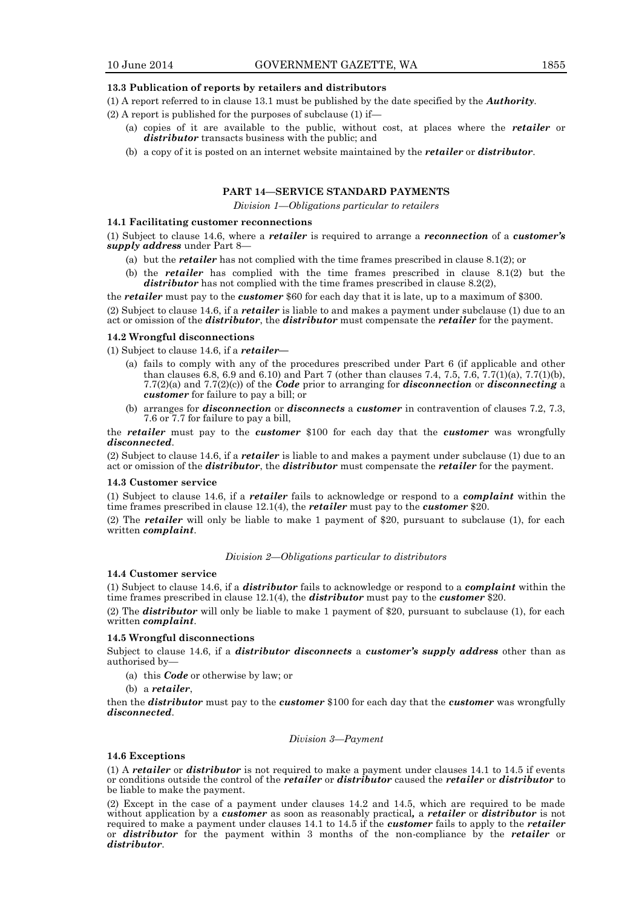#### **13.3 Publication of reports by retailers and distributors**

(1) A report referred to in clause 13.1 must be published by the date specified by the *Authority*.

- (2) A report is published for the purposes of subclause (1) if—
	- (a) copies of it are available to the public, without cost, at places where the *retailer* or *distributor* transacts business with the public; and
	- (b) a copy of it is posted on an internet website maintained by the *retailer* or *distributor*.

# **PART 14—SERVICE STANDARD PAYMENTS**

*Division 1—Obligations particular to retailers*

# **14.1 Facilitating customer reconnections**

(1) Subject to clause 14.6, where a *retailer* is required to arrange a *reconnection* of a *customer's supply address* under Part 8—

- (a) but the *retailer* has not complied with the time frames prescribed in clause 8.1(2); or
- (b) the *retailer* has complied with the time frames prescribed in clause 8.1(2) but the *distributor* has not complied with the time frames prescribed in clause 8.2(2),

the *retailer* must pay to the *customer* \$60 for each day that it is late, up to a maximum of \$300.

(2) Subject to clause 14.6, if a *retailer* is liable to and makes a payment under subclause (1) due to an act or omission of the *distributor*, the *distributor* must compensate the *retailer* for the payment.

#### **14.2 Wrongful disconnections**

(1) Subject to clause 14.6, if a *retailer—*

- (a) fails to comply with any of the procedures prescribed under Part 6 (if applicable and other than clauses 6.8, 6.9 and 6.10) and Part 7 (other than clauses 7.4, 7.5, 7.6, 7.7(1)(a), 7.7(1)(b), 7.7(2)(a) and 7.7(2)(c)) of the *Code* prior to arranging for *disconnection* or *disconnecting* a *customer* for failure to pay a bill; or
- (b) arranges for *disconnection* or *disconnects* a *customer* in contravention of clauses 7.2, 7.3, 7.6 or 7.7 for failure to pay a bill,

the *retailer* must pay to the *customer* \$100 for each day that the *customer* was wrongfully *disconnected*.

(2) Subject to clause 14.6, if a *retailer* is liable to and makes a payment under subclause (1) due to an act or omission of the *distributor*, the *distributor* must compensate the *retailer* for the payment.

#### **14.3 Customer service**

(1) Subject to clause 14.6, if a *retailer* fails to acknowledge or respond to a *complaint* within the time frames prescribed in clause 12.1(4), the *retailer* must pay to the *customer* \$20.

(2) The *retailer* will only be liable to make 1 payment of \$20, pursuant to subclause (1), for each written *complaint*.

*Division 2—Obligations particular to distributors*

# **14.4 Customer service**

(1) Subject to clause 14.6, if a *distributor* fails to acknowledge or respond to a *complaint* within the time frames prescribed in clause 12.1(4), the *distributor* must pay to the *customer* \$20.

(2) The *distributor* will only be liable to make 1 payment of \$20, pursuant to subclause (1), for each written *complaint*.

#### **14.5 Wrongful disconnections**

Subject to clause 14.6, if a *distributor disconnects* a *customer's supply address* other than as authorised by—

- (a) this *Code* or otherwise by law; or
- (b) a *retailer*,

then the *distributor* must pay to the *customer* \$100 for each day that the *customer* was wrongfully *disconnected*.

#### *Division 3—Payment*

#### **14.6 Exceptions**

(1) A *retailer* or *distributor* is not required to make a payment under clauses 14.1 to 14.5 if events or conditions outside the control of the *retailer* or *distributor* caused the *retailer* or *distributor* to be liable to make the payment.

(2) Except in the case of a payment under clauses 14.2 and 14.5, which are required to be made without application by a *customer* as soon as reasonably practical*,* a *retailer* or *distributor* is not required to make a payment under clauses 14.1 to 14.5 if the *customer* fails to apply to the *retailer*  or *distributor* for the payment within 3 months of the non-compliance by the *retailer* or *distributor*.